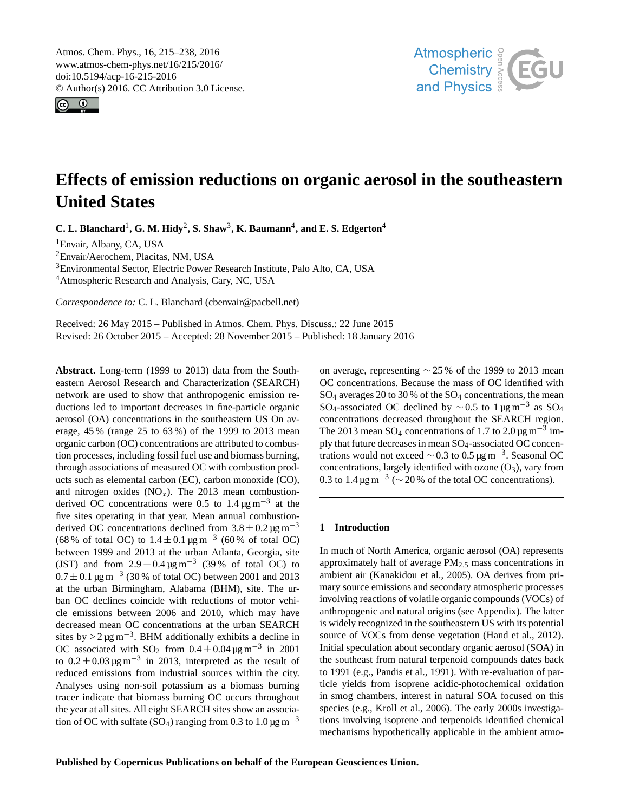<span id="page-0-1"></span>Atmos. Chem. Phys., 16, 215–238, 2016 www.atmos-chem-phys.net/16/215/2016/ doi:10.5194/acp-16-215-2016 © Author(s) 2016. CC Attribution 3.0 License.





# **Effects of emission reductions on organic aerosol in the southeastern United States**

**C. L. Blanchard<sup>[1](#page-0-0)</sup>, G. M. Hidy<sup>[2](#page-0-0)</sup>, S. Shaw<sup>[3](#page-0-0)</sup>, K. Baumann<sup>[4](#page-0-0)</sup>, and E. S. Edgerton<sup>4</sup>** 

<sup>1</sup>Envair, Albany, CA, USA

<sup>2</sup>Envair/Aerochem, Placitas, NM, USA

<sup>3</sup>Environmental Sector, Electric Power Research Institute, Palo Alto, CA, USA

<sup>4</sup>Atmospheric Research and Analysis, Cary, NC, USA

*Correspondence to:* C. L. Blanchard (cbenvair@pacbell.net)

Received: 26 May 2015 – Published in Atmos. Chem. Phys. Discuss.: 22 June 2015 Revised: 26 October 2015 – Accepted: 28 November 2015 – Published: 18 January 2016

<span id="page-0-0"></span>**Abstract.** Long-term (1999 to 2013) data from the Southeastern Aerosol Research and Characterization (SEARCH) network are used to show that anthropogenic emission reductions led to important decreases in fine-particle organic aerosol (OA) concentrations in the southeastern US On average, 45 % (range 25 to 63 %) of the 1999 to 2013 mean organic carbon (OC) concentrations are attributed to combustion processes, including fossil fuel use and biomass burning, through associations of measured OC with combustion products such as elemental carbon (EC), carbon monoxide (CO), and nitrogen oxides  $(NO<sub>x</sub>)$ . The 2013 mean combustionderived OC concentrations were 0.5 to  $1.4 \,\mathrm{\mu g\,m}^{-3}$  at the five sites operating in that year. Mean annual combustionderived OC concentrations declined from  $3.8 \pm 0.2 \,\text{\mu g m}^{-3}$ (68% of total OC) to  $1.4 \pm 0.1 \,\text{\mu g m}^{-3}$  (60% of total OC) between 1999 and 2013 at the urban Atlanta, Georgia, site (JST) and from  $2.9 \pm 0.4 \,\text{µg m}^{-3}$  (39% of total OC) to  $0.7 \pm 0.1 \,\text{\mu g m}^{-3}$  (30 % of total OC) between 2001 and 2013 at the urban Birmingham, Alabama (BHM), site. The urban OC declines coincide with reductions of motor vehicle emissions between 2006 and 2010, which may have decreased mean OC concentrations at the urban SEARCH sites by >  $2 \mu g$  m<sup>-3</sup>. BHM additionally exhibits a decline in OC associated with  $SO_2$  from  $0.4 \pm 0.04 \,\mu g \,\text{m}^{-3}$  in 2001 to  $0.2 \pm 0.03 \,\mathrm{\mu g\,m}^{-3}$  in 2013, interpreted as the result of reduced emissions from industrial sources within the city. Analyses using non-soil potassium as a biomass burning tracer indicate that biomass burning OC occurs throughout the year at all sites. All eight SEARCH sites show an association of OC with sulfate (SO<sub>4</sub>) ranging from 0.3 to 1.0  $\mu$ g m<sup>-3</sup>

on average, representing ∼ 25 % of the 1999 to 2013 mean OC concentrations. Because the mass of OC identified with  $SO_4$  averages 20 to 30 % of the  $SO_4$  concentrations, the mean SO<sub>4</sub>-associated OC declined by  $\sim$  0.5 to 1 µg m<sup>-3</sup> as SO<sub>4</sub> concentrations decreased throughout the SEARCH region. The 2013 mean SO<sub>4</sub> concentrations of 1.7 to 2.0  $\mu$ g m<sup>-3</sup> imply that future decreases in mean SO4-associated OC concentrations would not exceed  $\sim$  0.3 to 0.5 µg m<sup>-3</sup>. Seasonal OC concentrations, largely identified with ozone  $(O_3)$ , vary from 0.3 to 1.4  $\mu$ g m<sup>-3</sup> ( $\sim$  20% of the total OC concentrations).

## **1 Introduction**

In much of North America, organic aerosol (OA) represents approximately half of average PM2.<sup>5</sup> mass concentrations in ambient air (Kanakidou et al., 2005). OA derives from primary source emissions and secondary atmospheric processes involving reactions of volatile organic compounds (VOCs) of anthropogenic and natural origins (see Appendix). The latter is widely recognized in the southeastern US with its potential source of VOCs from dense vegetation (Hand et al., 2012). Initial speculation about secondary organic aerosol (SOA) in the southeast from natural terpenoid compounds dates back to 1991 (e.g., Pandis et al., 1991). With re-evaluation of particle yields from isoprene acidic-photochemical oxidation in smog chambers, interest in natural SOA focused on this species (e.g., Kroll et al., 2006). The early 2000s investigations involving isoprene and terpenoids identified chemical mechanisms hypothetically applicable in the ambient atmo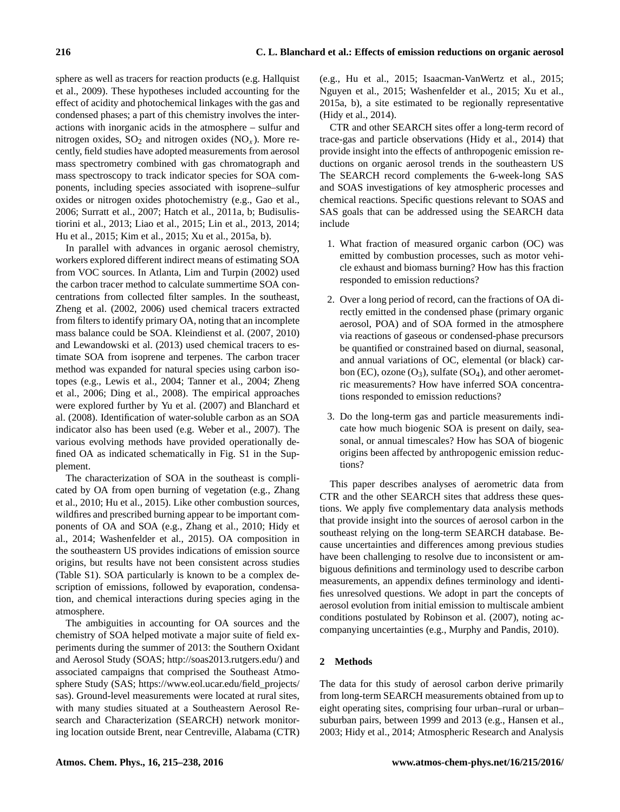sphere as well as tracers for reaction products (e.g. Hallquist et al., 2009). These hypotheses included accounting for the effect of acidity and photochemical linkages with the gas and condensed phases; a part of this chemistry involves the interactions with inorganic acids in the atmosphere – sulfur and nitrogen oxides,  $SO_2$  and nitrogen oxides  $(NO_x)$ . More recently, field studies have adopted measurements from aerosol mass spectrometry combined with gas chromatograph and mass spectroscopy to track indicator species for SOA components, including species associated with isoprene–sulfur oxides or nitrogen oxides photochemistry (e.g., Gao et al., 2006; Surratt et al., 2007; Hatch et al., 2011a, b; Budisulistiorini et al., 2013; Liao et al., 2015; Lin et al., 2013, 2014; Hu et al., 2015; Kim et al., 2015; Xu et al., 2015a, b).

In parallel with advances in organic aerosol chemistry, workers explored different indirect means of estimating SOA from VOC sources. In Atlanta, Lim and Turpin (2002) used the carbon tracer method to calculate summertime SOA concentrations from collected filter samples. In the southeast, Zheng et al. (2002, 2006) used chemical tracers extracted from filters to identify primary OA, noting that an incomplete mass balance could be SOA. Kleindienst et al. (2007, 2010) and Lewandowski et al. (2013) used chemical tracers to estimate SOA from isoprene and terpenes. The carbon tracer method was expanded for natural species using carbon isotopes (e.g., Lewis et al., 2004; Tanner et al., 2004; Zheng et al., 2006; Ding et al., 2008). The empirical approaches were explored further by Yu et al. (2007) and Blanchard et al. (2008). Identification of water-soluble carbon as an SOA indicator also has been used (e.g. Weber et al., 2007). The various evolving methods have provided operationally defined OA as indicated schematically in Fig. S1 in the Supplement.

The characterization of SOA in the southeast is complicated by OA from open burning of vegetation (e.g., Zhang et al., 2010; Hu et al., 2015). Like other combustion sources, wildfires and prescribed burning appear to be important components of OA and SOA (e.g., Zhang et al., 2010; Hidy et al., 2014; Washenfelder et al., 2015). OA composition in the southeastern US provides indications of emission source origins, but results have not been consistent across studies (Table S1). SOA particularly is known to be a complex description of emissions, followed by evaporation, condensation, and chemical interactions during species aging in the atmosphere.

The ambiguities in accounting for OA sources and the chemistry of SOA helped motivate a major suite of field experiments during the summer of 2013: the Southern Oxidant and Aerosol Study (SOAS; [http://soas2013.rutgers.edu/\)](http://soas2013.rutgers.edu/) and associated campaigns that comprised the Southeast Atmosphere Study (SAS; [https://www.eol.ucar.edu/field\\_projects/](https://www.eol.ucar.edu/field_projects/sas) [sas\)](https://www.eol.ucar.edu/field_projects/sas). Ground-level measurements were located at rural sites, with many studies situated at a Southeastern Aerosol Research and Characterization (SEARCH) network monitoring location outside Brent, near Centreville, Alabama (CTR) (e.g., Hu et al., 2015; Isaacman-VanWertz et al., 2015; Nguyen et al., 2015; Washenfelder et al., 2015; Xu et al., 2015a, b), a site estimated to be regionally representative (Hidy et al., 2014).

CTR and other SEARCH sites offer a long-term record of trace-gas and particle observations (Hidy et al., 2014) that provide insight into the effects of anthropogenic emission reductions on organic aerosol trends in the southeastern US The SEARCH record complements the 6-week-long SAS and SOAS investigations of key atmospheric processes and chemical reactions. Specific questions relevant to SOAS and SAS goals that can be addressed using the SEARCH data include

- 1. What fraction of measured organic carbon (OC) was emitted by combustion processes, such as motor vehicle exhaust and biomass burning? How has this fraction responded to emission reductions?
- 2. Over a long period of record, can the fractions of OA directly emitted in the condensed phase (primary organic aerosol, POA) and of SOA formed in the atmosphere via reactions of gaseous or condensed-phase precursors be quantified or constrained based on diurnal, seasonal, and annual variations of OC, elemental (or black) carbon (EC), ozone  $(O_3)$ , sulfate (SO<sub>4</sub>), and other aerometric measurements? How have inferred SOA concentrations responded to emission reductions?
- 3. Do the long-term gas and particle measurements indicate how much biogenic SOA is present on daily, seasonal, or annual timescales? How has SOA of biogenic origins been affected by anthropogenic emission reductions?

This paper describes analyses of aerometric data from CTR and the other SEARCH sites that address these questions. We apply five complementary data analysis methods that provide insight into the sources of aerosol carbon in the southeast relying on the long-term SEARCH database. Because uncertainties and differences among previous studies have been challenging to resolve due to inconsistent or ambiguous definitions and terminology used to describe carbon measurements, an appendix defines terminology and identifies unresolved questions. We adopt in part the concepts of aerosol evolution from initial emission to multiscale ambient conditions postulated by Robinson et al. (2007), noting accompanying uncertainties (e.g., Murphy and Pandis, 2010).

# **2 Methods**

The data for this study of aerosol carbon derive primarily from long-term SEARCH measurements obtained from up to eight operating sites, comprising four urban–rural or urban– suburban pairs, between 1999 and 2013 (e.g., Hansen et al., 2003; Hidy et al., 2014; Atmospheric Research and Analysis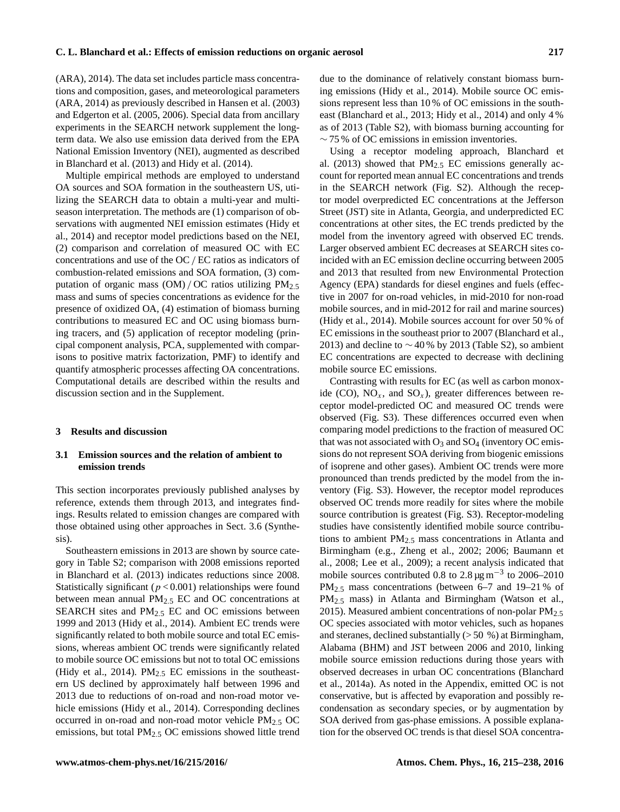(ARA), 2014). The data set includes particle mass concentrations and composition, gases, and meteorological parameters (ARA, 2014) as previously described in Hansen et al. (2003) and Edgerton et al. (2005, 2006). Special data from ancillary experiments in the SEARCH network supplement the longterm data. We also use emission data derived from the EPA National Emission Inventory (NEI), augmented as described in Blanchard et al. (2013) and Hidy et al. (2014).

Multiple empirical methods are employed to understand OA sources and SOA formation in the southeastern US, utilizing the SEARCH data to obtain a multi-year and multiseason interpretation. The methods are (1) comparison of observations with augmented NEI emission estimates (Hidy et al., 2014) and receptor model predictions based on the NEI, (2) comparison and correlation of measured OC with EC concentrations and use of the OC/ EC ratios as indicators of combustion-related emissions and SOA formation, (3) computation of organic mass  $(OM) / OC$  ratios utilizing  $PM<sub>2.5</sub>$ mass and sums of species concentrations as evidence for the presence of oxidized OA, (4) estimation of biomass burning contributions to measured EC and OC using biomass burning tracers, and (5) application of receptor modeling (principal component analysis, PCA, supplemented with comparisons to positive matrix factorization, PMF) to identify and quantify atmospheric processes affecting OA concentrations. Computational details are described within the results and discussion section and in the Supplement.

# **3 Results and discussion**

# **3.1 Emission sources and the relation of ambient to emission trends**

This section incorporates previously published analyses by reference, extends them through 2013, and integrates findings. Results related to emission changes are compared with those obtained using other approaches in Sect. 3.6 (Synthesis).

Southeastern emissions in 2013 are shown by source category in Table S2; comparison with 2008 emissions reported in Blanchard et al. (2013) indicates reductions since 2008. Statistically significant ( $p < 0.001$ ) relationships were found between mean annual  $PM_{2.5}$  EC and OC concentrations at SEARCH sites and  $PM_{2.5}$  EC and OC emissions between 1999 and 2013 (Hidy et al., 2014). Ambient EC trends were significantly related to both mobile source and total EC emissions, whereas ambient OC trends were significantly related to mobile source OC emissions but not to total OC emissions (Hidy et al., 2014).  $PM_{2.5}$  EC emissions in the southeastern US declined by approximately half between 1996 and 2013 due to reductions of on-road and non-road motor vehicle emissions (Hidy et al., 2014). Corresponding declines occurred in on-road and non-road motor vehicle  $PM_{2.5}$  OC emissions, but total PM<sub>2.5</sub> OC emissions showed little trend due to the dominance of relatively constant biomass burning emissions (Hidy et al., 2014). Mobile source OC emissions represent less than 10 % of OC emissions in the southeast (Blanchard et al., 2013; Hidy et al., 2014) and only 4 % as of 2013 (Table S2), with biomass burning accounting for  $\sim$  75 % of OC emissions in emission inventories.

Using a receptor modeling approach, Blanchard et al. (2013) showed that  $PM_{2.5}$  EC emissions generally account for reported mean annual EC concentrations and trends in the SEARCH network (Fig. S2). Although the receptor model overpredicted EC concentrations at the Jefferson Street (JST) site in Atlanta, Georgia, and underpredicted EC concentrations at other sites, the EC trends predicted by the model from the inventory agreed with observed EC trends. Larger observed ambient EC decreases at SEARCH sites coincided with an EC emission decline occurring between 2005 and 2013 that resulted from new Environmental Protection Agency (EPA) standards for diesel engines and fuels (effective in 2007 for on-road vehicles, in mid-2010 for non-road mobile sources, and in mid-2012 for rail and marine sources) (Hidy et al., 2014). Mobile sources account for over 50 % of EC emissions in the southeast prior to 2007 (Blanchard et al., 2013) and decline to ∼ 40 % by 2013 (Table S2), so ambient EC concentrations are expected to decrease with declining mobile source EC emissions.

Contrasting with results for EC (as well as carbon monoxide (CO),  $NO_x$ , and  $SO_x$ ), greater differences between receptor model-predicted OC and measured OC trends were observed (Fig. S3). These differences occurred even when comparing model predictions to the fraction of measured OC that was not associated with  $O_3$  and  $SO_4$  (inventory OC emissions do not represent SOA deriving from biogenic emissions of isoprene and other gases). Ambient OC trends were more pronounced than trends predicted by the model from the inventory (Fig. S3). However, the receptor model reproduces observed OC trends more readily for sites where the mobile source contribution is greatest (Fig. S3). Receptor-modeling studies have consistently identified mobile source contributions to ambient  $PM_{2.5}$  mass concentrations in Atlanta and Birmingham (e.g., Zheng et al., 2002; 2006; Baumann et al., 2008; Lee et al., 2009); a recent analysis indicated that mobile sources contributed 0.8 to 2.8  $\mu$ g m<sup>-3</sup> to 2006–2010 PM<sub>2.5</sub> mass concentrations (between 6–7 and 19–21 % of PM2.<sup>5</sup> mass) in Atlanta and Birmingham (Watson et al., 2015). Measured ambient concentrations of non-polar  $PM_{2.5}$ OC species associated with motor vehicles, such as hopanes and steranes, declined substantially (> 50 %) at Birmingham, Alabama (BHM) and JST between 2006 and 2010, linking mobile source emission reductions during those years with observed decreases in urban OC concentrations (Blanchard et al., 2014a). As noted in the Appendix, emitted OC is not conservative, but is affected by evaporation and possibly recondensation as secondary species, or by augmentation by SOA derived from gas-phase emissions. A possible explanation for the observed OC trends is that diesel SOA concentra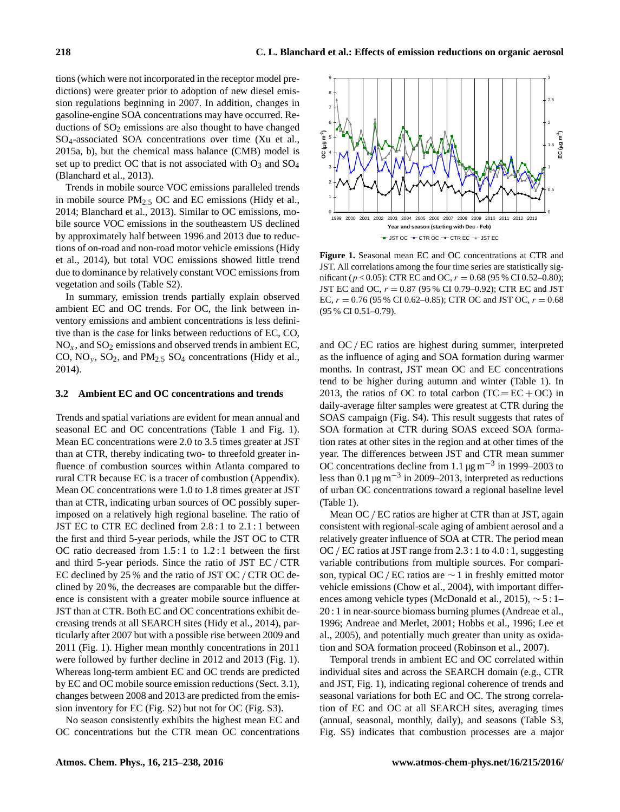tions (which were not incorporated in the receptor model predictions) were greater prior to adoption of new diesel emission regulations beginning in 2007. In addition, changes in gasoline-engine SOA concentrations may have occurred. Reductions of  $SO<sub>2</sub>$  emissions are also thought to have changed SO4-associated SOA concentrations over time (Xu et al., 2015a, b), but the chemical mass balance (CMB) model is set up to predict OC that is not associated with  $O_3$  and  $SO_4$ (Blanchard et al., 2013).

Trends in mobile source VOC emissions paralleled trends in mobile source PM2.<sup>5</sup> OC and EC emissions (Hidy et al., 2014; Blanchard et al., 2013). Similar to OC emissions, mobile source VOC emissions in the southeastern US declined by approximately half between 1996 and 2013 due to reductions of on-road and non-road motor vehicle emissions (Hidy et al., 2014), but total VOC emissions showed little trend due to dominance by relatively constant VOC emissions from vegetation and soils (Table S2).

In summary, emission trends partially explain observed ambient EC and OC trends. For OC, the link between inventory emissions and ambient concentrations is less definitive than is the case for links between reductions of EC, CO,  $NO<sub>x</sub>$ , and  $SO<sub>2</sub>$  emissions and observed trends in ambient EC, CO,  $NO_y$ ,  $SO_2$ , and  $PM_{2.5}$   $SO_4$  concentrations (Hidy et al., 2014).

## **3.2 Ambient EC and OC concentrations and trends**

Trends and spatial variations are evident for mean annual and seasonal EC and OC concentrations (Table 1 and Fig. 1). Mean EC concentrations were 2.0 to 3.5 times greater at JST than at CTR, thereby indicating two- to threefold greater influence of combustion sources within Atlanta compared to rural CTR because EC is a tracer of combustion (Appendix). Mean OC concentrations were 1.0 to 1.8 times greater at JST than at CTR, indicating urban sources of OC possibly superimposed on a relatively high regional baseline. The ratio of JST EC to CTR EC declined from 2.8 : 1 to 2.1 : 1 between the first and third 5-year periods, while the JST OC to CTR OC ratio decreased from 1.5 : 1 to 1.2 : 1 between the first and third 5-year periods. Since the ratio of JST EC/ CTR EC declined by 25 % and the ratio of JST OC / CTR OC declined by 20 %, the decreases are comparable but the difference is consistent with a greater mobile source influence at JST than at CTR. Both EC and OC concentrations exhibit decreasing trends at all SEARCH sites (Hidy et al., 2014), particularly after 2007 but with a possible rise between 2009 and 2011 (Fig. 1). Higher mean monthly concentrations in 2011 were followed by further decline in 2012 and 2013 (Fig. 1). Whereas long-term ambient EC and OC trends are predicted by EC and OC mobile source emission reductions (Sect. 3.1), changes between 2008 and 2013 are predicted from the emission inventory for EC (Fig. S2) but not for OC (Fig. S3).

No season consistently exhibits the highest mean EC and OC concentrations but the CTR mean OC concentrations



**Figure 1.** Seasonal mean EC and OC concentrations at CTR and JST. All correlations among the four time series are statistically significant ( $p < 0.05$ ): CTR EC and OC,  $r = 0.68$  (95 % CI 0.52–0.80); JST EC and OC,  $r = 0.87$  (95% CI 0.79–0.92); CTR EC and JST EC,  $r = 0.76$  (95 % CI 0.62–0.85); CTR OC and JST OC,  $r = 0.68$ (95 % CI 0.51–0.79).

and OC / EC ratios are highest during summer, interpreted as the influence of aging and SOA formation during warmer months. In contrast, JST mean OC and EC concentrations tend to be higher during autumn and winter (Table 1). In 2013, the ratios of OC to total carbon  $(TC = EC + OC)$  in daily-average filter samples were greatest at CTR during the SOAS campaign (Fig. S4). This result suggests that rates of SOA formation at CTR during SOAS exceed SOA formation rates at other sites in the region and at other times of the year. The differences between JST and CTR mean summer OC concentrations decline from 1.1  $\mu$ g m<sup>-3</sup> in 1999–2003 to less than 0.1  $\mu$ g m<sup>-3</sup> in 2009–2013, interpreted as reductions of urban OC concentrations toward a regional baseline level (Table 1).

Mean OC / EC ratios are higher at CTR than at JST, again consistent with regional-scale aging of ambient aerosol and a relatively greater influence of SOA at CTR. The period mean OC/ EC ratios at JST range from 2.3 : 1 to 4.0 : 1, suggesting variable contributions from multiple sources. For comparison, typical OC/EC ratios are  $\sim$  1 in freshly emitted motor vehicle emissions (Chow et al., 2004), with important differences among vehicle types (McDonald et al., 2015), ∼ 5 : 1– 20 : 1 in near-source biomass burning plumes (Andreae et al., 1996; Andreae and Merlet, 2001; Hobbs et al., 1996; Lee et al., 2005), and potentially much greater than unity as oxidation and SOA formation proceed (Robinson et al., 2007).

Temporal trends in ambient EC and OC correlated within individual sites and across the SEARCH domain (e.g., CTR and JST, Fig. 1), indicating regional coherence of trends and seasonal variations for both EC and OC. The strong correlation of EC and OC at all SEARCH sites, averaging times (annual, seasonal, monthly, daily), and seasons (Table S3, Fig. S5) indicates that combustion processes are a major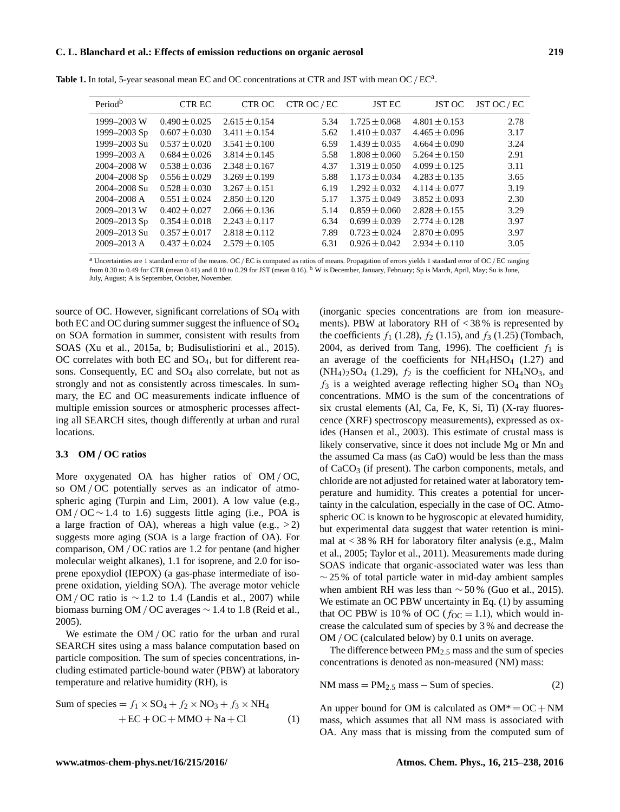#### **C. L. Blanchard et al.: Effects of emission reductions on organic aerosol 219**

| Period <sup>b</sup> | <b>CTR EC</b>     | CTR OC            | CTR OC / EC | <b>JST EC</b>     | JST OC            | JST OC / EC |
|---------------------|-------------------|-------------------|-------------|-------------------|-------------------|-------------|
| 1999–2003 W         | $0.490 \pm 0.025$ | $2.615 \pm 0.154$ | 5.34        | $1.725 \pm 0.068$ | $4.801 \pm 0.153$ | 2.78        |
| 1999–2003 Sp        | $0.607 \pm 0.030$ | $3.411 \pm 0.154$ | 5.62        | $1.410 \pm 0.037$ | $4.465 \pm 0.096$ | 3.17        |
| 1999-2003 Su        | $0.537 \pm 0.020$ | $3.541 \pm 0.100$ | 6.59        | $1.439 \pm 0.035$ | $4.664 \pm 0.090$ | 3.24        |
| $1999 - 2003$ A     | $0.684 \pm 0.026$ | $3.814 \pm 0.145$ | 5.58        | $1.808 \pm 0.060$ | $5.264 \pm 0.150$ | 2.91        |
| 2004-2008 W         | $0.538 \pm 0.036$ | $2.348 \pm 0.167$ | 4.37        | $1.319 \pm 0.050$ | $4.099 \pm 0.125$ | 3.11        |
| $2004 - 2008$ Sp    | $0.556 \pm 0.029$ | $3.269 \pm 0.199$ | 5.88        | $1.173 \pm 0.034$ | $4.283 \pm 0.135$ | 3.65        |
| 2004–2008 Su        | $0.528 \pm 0.030$ | $3.267 \pm 0.151$ | 6.19        | $1.292 \pm 0.032$ | $4.114 \pm 0.077$ | 3.19        |
| $2004 - 2008$ A     | $0.551 \pm 0.024$ | $2.850 \pm 0.120$ | 5.17        | $1.375 \pm 0.049$ | $3.852 \pm 0.093$ | 2.30        |
| 2009-2013 W         | $0.402 \pm 0.027$ | $2.066 \pm 0.136$ | 5.14        | $0.859 \pm 0.060$ | $2.828 \pm 0.155$ | 3.29        |
| $2009 - 2013$ Sp    | $0.354 \pm 0.018$ | $2.243 \pm 0.117$ | 6.34        | $0.699 \pm 0.039$ | $2.774 \pm 0.128$ | 3.97        |
| 2009–2013 Su        | $0.357 \pm 0.017$ | $2.818 \pm 0.112$ | 7.89        | $0.723 \pm 0.024$ | $2.870 \pm 0.095$ | 3.97        |
| $2009 - 2013$ A     | $0.437 \pm 0.024$ | $2.579 \pm 0.105$ | 6.31        | $0.926 \pm 0.042$ | $2.934 \pm 0.110$ | 3.05        |
|                     |                   |                   |             |                   |                   |             |

Table 1. In total, 5-year seasonal mean EC and OC concentrations at CTR and JST with mean OC / EC<sup>a</sup>.

a Uncertainties are 1 standard error of the means. OC/EC is computed as ratios of means. Propagation of errors yields 1 standard error of OC/EC ranging from 0.30 to 0.49 for CTR (mean 0.41) and 0.10 to 0.29 for JST (mean 0.16). <sup>b</sup> W is December, January, February; Sp is March, April, May; Su is June, July, August; A is September, October, November.

source of OC. However, significant correlations of  $SO_4$  with both EC and OC during summer suggest the influence of SO<sup>4</sup> on SOA formation in summer, consistent with results from SOAS (Xu et al., 2015a, b; Budisulistiorini et al., 2015).  $OC$  correlates with both  $EC$  and  $SO<sub>4</sub>$ , but for different reasons. Consequently, EC and SO<sub>4</sub> also correlate, but not as strongly and not as consistently across timescales. In summary, the EC and OC measurements indicate influence of multiple emission sources or atmospheric processes affecting all SEARCH sites, though differently at urban and rural locations.

# **3.3 OM** / **OC ratios**

More oxygenated OA has higher ratios of OM/OC, so OM / OC potentially serves as an indicator of atmospheric aging (Turpin and Lim, 2001). A low value (e.g., OM / OC  $\sim$  1.4 to 1.6) suggests little aging (i.e., POA is a large fraction of OA), whereas a high value (e.g.,  $>2$ ) suggests more aging (SOA is a large fraction of OA). For comparison, OM / OC ratios are 1.2 for pentane (and higher molecular weight alkanes), 1.1 for isoprene, and 2.0 for isoprene epoxydiol (IEPOX) (a gas-phase intermediate of isoprene oxidation, yielding SOA). The average motor vehicle OM / OC ratio is  $\sim$  1.2 to 1.4 (Landis et al., 2007) while biomass burning OM / OC averages ∼ 1.4 to 1.8 (Reid et al., 2005).

We estimate the OM / OC ratio for the urban and rural SEARCH sites using a mass balance computation based on particle composition. The sum of species concentrations, including estimated particle-bound water (PBW) at laboratory temperature and relative humidity (RH), is

Sum of species = 
$$
f_1 \times SO_4 + f_2 \times NO_3 + f_3 \times NH_4
$$
  
+ EC + OC + MMO + Na + Cl (1)

(inorganic species concentrations are from ion measurements). PBW at laboratory RH of < 38 % is represented by the coefficients  $f_1$  (1.28),  $f_2$  (1.15), and  $f_3$  (1.25) (Tombach, 2004, as derived from Tang, 1996). The coefficient  $f_1$  is an average of the coefficients for  $NH_4HSO_4$  (1.27) and  $(NH_4)_2SO_4$  (1.29),  $f_2$  is the coefficient for  $NH_4NO_3$ , and  $f_3$  is a weighted average reflecting higher SO<sub>4</sub> than NO<sub>3</sub> concentrations. MMO is the sum of the concentrations of six crustal elements (Al, Ca, Fe, K, Si, Ti) (X-ray fluorescence (XRF) spectroscopy measurements), expressed as oxides (Hansen et al., 2003). This estimate of crustal mass is likely conservative, since it does not include Mg or Mn and the assumed Ca mass (as CaO) would be less than the mass of  $CaCO<sub>3</sub>$  (if present). The carbon components, metals, and chloride are not adjusted for retained water at laboratory temperature and humidity. This creates a potential for uncertainty in the calculation, especially in the case of OC. Atmospheric OC is known to be hygroscopic at elevated humidity, but experimental data suggest that water retention is minimal at  $<$  38 % RH for laboratory filter analysis (e.g., Malm et al., 2005; Taylor et al., 2011). Measurements made during SOAS indicate that organic-associated water was less than  $\sim$  25 % of total particle water in mid-day ambient samples when ambient RH was less than  $\sim$  50 % (Guo et al., 2015). We estimate an OC PBW uncertainty in Eq.  $(1)$  by assuming that OC PBW is 10% of OC ( $f_{\text{OC}} = 1.1$ ), which would increase the calculated sum of species by 3 % and decrease the OM / OC (calculated below) by 0.1 units on average.

The difference between  $PM_{2.5}$  mass and the sum of species concentrations is denoted as non-measured (NM) mass:

NM mass =  $PM_{2.5}$  mass – Sum of species. (2)

An upper bound for OM is calculated as  $OM^* = OC + NM$ mass, which assumes that all NM mass is associated with OA. Any mass that is missing from the computed sum of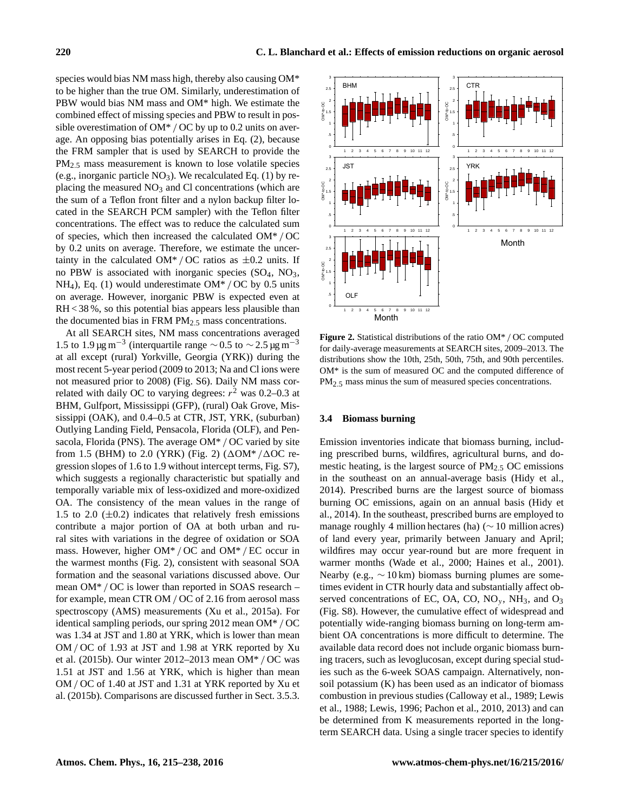species would bias NM mass high, thereby also causing OM\* to be higher than the true OM. Similarly, underestimation of PBW would bias NM mass and OM\* high. We estimate the combined effect of missing species and PBW to result in possible overestimation of  $OM^*$  / OC by up to 0.2 units on average. An opposing bias potentially arises in Eq. (2), because the FRM sampler that is used by SEARCH to provide the PM2.<sup>5</sup> mass measurement is known to lose volatile species (e.g., inorganic particle  $NO<sub>3</sub>$ ). We recalculated Eq. (1) by replacing the measured  $NO<sub>3</sub>$  and Cl concentrations (which are the sum of a Teflon front filter and a nylon backup filter located in the SEARCH PCM sampler) with the Teflon filter concentrations. The effect was to reduce the calculated sum of species, which then increased the calculated OM\* / OC by 0.2 units on average. Therefore, we estimate the uncertainty in the calculated OM\* / OC ratios as  $\pm 0.2$  units. If no PBW is associated with inorganic species  $(SO<sub>4</sub>, NO<sub>3</sub>)$ , NH<sub>4</sub>), Eq. (1) would underestimate OM<sup>\*</sup> / OC by 0.5 units on average. However, inorganic PBW is expected even at RH < 38 %, so this potential bias appears less plausible than the documented bias in FRM  $PM_{2.5}$  mass concentrations.

At all SEARCH sites, NM mass concentrations averaged 1.5 to 1.9 μg m<sup>-3</sup> (interquartile range  $\sim$  0.5 to  $\sim$  2.5 μg m<sup>-3</sup> at all except (rural) Yorkville, Georgia (YRK)) during the most recent 5-year period (2009 to 2013; Na and Cl ions were not measured prior to 2008) (Fig. S6). Daily NM mass correlated with daily OC to varying degrees:  $r^2$  was 0.2–0.3 at BHM, Gulfport, Mississippi (GFP), (rural) Oak Grove, Mississippi (OAK), and 0.4–0.5 at CTR, JST, YRK, (suburban) Outlying Landing Field, Pensacola, Florida (OLF), and Pensacola, Florida (PNS). The average OM\* / OC varied by site from 1.5 (BHM) to 2.0 (YRK) (Fig. 2) ( $\Delta$ OM\* / $\Delta$ OC regression slopes of 1.6 to 1.9 without intercept terms, Fig. S7), which suggests a regionally characteristic but spatially and temporally variable mix of less-oxidized and more-oxidized OA. The consistency of the mean values in the range of 1.5 to 2.0  $(\pm 0.2)$  indicates that relatively fresh emissions contribute a major portion of OA at both urban and rural sites with variations in the degree of oxidation or SOA mass. However, higher OM\* / OC and OM\* / EC occur in the warmest months (Fig. 2), consistent with seasonal SOA formation and the seasonal variations discussed above. Our mean OM\* / OC is lower than reported in SOAS research – for example, mean CTR OM / OC of 2.16 from aerosol mass spectroscopy (AMS) measurements (Xu et al., 2015a). For identical sampling periods, our spring 2012 mean OM\* / OC was 1.34 at JST and 1.80 at YRK, which is lower than mean OM / OC of 1.93 at JST and 1.98 at YRK reported by Xu et al. (2015b). Our winter 2012–2013 mean OM\* / OC was 1.51 at JST and 1.56 at YRK, which is higher than mean OM / OC of 1.40 at JST and 1.31 at YRK reported by Xu et al. (2015b). Comparisons are discussed further in Sect. 3.5.3.

**Figure 2.** Statistical distributions of the ratio OM\* / OC computed for daily-average measurements at SEARCH sites, 2009–2013. The distributions show the 10th, 25th, 50th, 75th, and 90th percentiles. OM\* is the sum of measured OC and the computed difference of PM<sub>2.5</sub> mass minus the sum of measured species concentrations.

## **3.4 Biomass burning**

Emission inventories indicate that biomass burning, including prescribed burns, wildfires, agricultural burns, and domestic heating, is the largest source of  $PM<sub>2.5</sub>$  OC emissions in the southeast on an annual-average basis (Hidy et al., 2014). Prescribed burns are the largest source of biomass burning OC emissions, again on an annual basis (Hidy et al., 2014). In the southeast, prescribed burns are employed to manage roughly 4 million hectares (ha) (∼ 10 million acres) of land every year, primarily between January and April; wildfires may occur year-round but are more frequent in warmer months (Wade et al., 2000; Haines et al., 2001). Nearby (e.g.,  $\sim 10 \text{ km}$ ) biomass burning plumes are sometimes evident in CTR hourly data and substantially affect observed concentrations of EC, OA, CO,  $NO<sub>v</sub>$ ,  $NH<sub>3</sub>$ , and  $O<sub>3</sub>$ (Fig. S8). However, the cumulative effect of widespread and potentially wide-ranging biomass burning on long-term ambient OA concentrations is more difficult to determine. The available data record does not include organic biomass burning tracers, such as levoglucosan, except during special studies such as the 6-week SOAS campaign. Alternatively, nonsoil potassium (K) has been used as an indicator of biomass combustion in previous studies (Calloway et al., 1989; Lewis et al., 1988; Lewis, 1996; Pachon et al., 2010, 2013) and can be determined from K measurements reported in the longterm SEARCH data. Using a single tracer species to identify

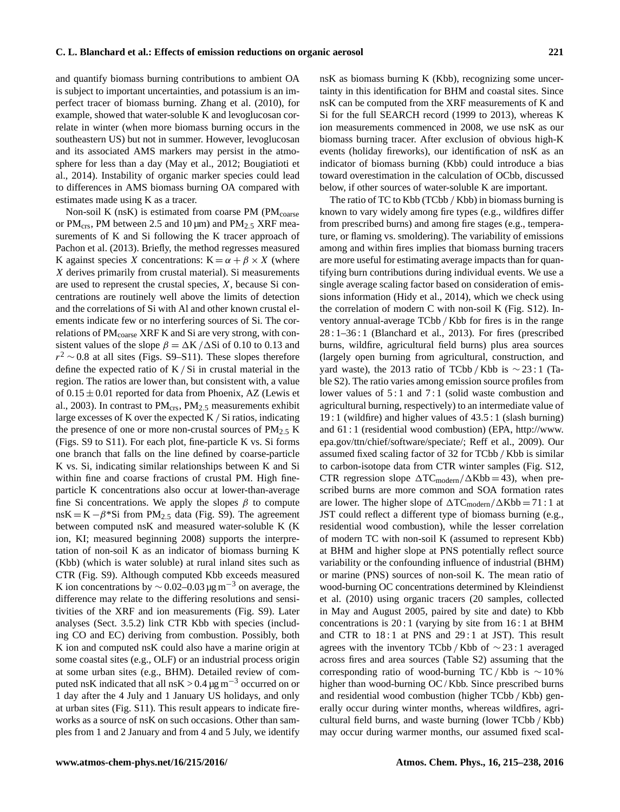and quantify biomass burning contributions to ambient OA is subject to important uncertainties, and potassium is an imperfect tracer of biomass burning. Zhang et al. (2010), for example, showed that water-soluble K and levoglucosan correlate in winter (when more biomass burning occurs in the southeastern US) but not in summer. However, levoglucosan and its associated AMS markers may persist in the atmosphere for less than a day (May et al., 2012; Bougiatioti et al., 2014). Instability of organic marker species could lead to differences in AMS biomass burning OA compared with estimates made using K as a tracer.

Non-soil K ( $nsK$ ) is estimated from coarse PM ( $PM_{coarse}$ ) or PM<sub>crs</sub>, PM between 2.5 and 10  $\mu$ m) and PM<sub>2.5</sub> XRF measurements of K and Si following the K tracer approach of Pachon et al. (2013). Briefly, the method regresses measured K against species X concentrations:  $K = \alpha + \beta \times X$  (where X derives primarily from crustal material). Si measurements are used to represent the crustal species, X, because Si concentrations are routinely well above the limits of detection and the correlations of Si with Al and other known crustal elements indicate few or no interfering sources of Si. The correlations of PM<sub>coarse</sub> XRF K and Si are very strong, with consistent values of the slope  $\beta = \Delta K / \Delta S$ i of 0.10 to 0.13 and  $r^2 \sim 0.8$  at all sites (Figs. S9–S11). These slopes therefore define the expected ratio of K / Si in crustal material in the region. The ratios are lower than, but consistent with, a value of  $0.15 \pm 0.01$  reported for data from Phoenix, AZ (Lewis et al., 2003). In contrast to  $PM_{crs}$ ,  $PM_{2.5}$  measurements exhibit large excesses of K over the expected  $K / Si$  ratios, indicating the presence of one or more non-crustal sources of  $PM_{2.5}$  K (Figs. S9 to S11). For each plot, fine-particle K vs. Si forms one branch that falls on the line defined by coarse-particle K vs. Si, indicating similar relationships between K and Si within fine and coarse fractions of crustal PM. High fineparticle K concentrations also occur at lower-than-average fine Si concentrations. We apply the slopes  $\beta$  to compute  $nsK = K - \beta^*Si$  from PM<sub>2.5</sub> data (Fig. S9). The agreement between computed nsK and measured water-soluble K (K ion, KI; measured beginning 2008) supports the interpretation of non-soil K as an indicator of biomass burning K (Kbb) (which is water soluble) at rural inland sites such as CTR (Fig. S9). Although computed Kbb exceeds measured K ion concentrations by  $\sim$  0.02–0.03 µg m<sup>-3</sup> on average, the difference may relate to the differing resolutions and sensitivities of the XRF and ion measurements (Fig. S9). Later analyses (Sect. 3.5.2) link CTR Kbb with species (including CO and EC) deriving from combustion. Possibly, both K ion and computed nsK could also have a marine origin at some coastal sites (e.g., OLF) or an industrial process origin at some urban sites (e.g., BHM). Detailed review of computed nsK indicated that all nsK >  $0.4 \,\mathrm{\mu g\,m}^{-3}$  occurred on or 1 day after the 4 July and 1 January US holidays, and only at urban sites (Fig. S11). This result appears to indicate fireworks as a source of nsK on such occasions. Other than samples from 1 and 2 January and from 4 and 5 July, we identify nsK as biomass burning K (Kbb), recognizing some uncertainty in this identification for BHM and coastal sites. Since nsK can be computed from the XRF measurements of K and Si for the full SEARCH record (1999 to 2013), whereas K ion measurements commenced in 2008, we use nsK as our biomass burning tracer. After exclusion of obvious high-K events (holiday fireworks), our identification of nsK as an indicator of biomass burning (Kbb) could introduce a bias toward overestimation in the calculation of OCbb, discussed below, if other sources of water-soluble K are important.

The ratio of TC to Kbb (TCbb / Kbb) in biomass burning is known to vary widely among fire types (e.g., wildfires differ from prescribed burns) and among fire stages (e.g., temperature, or flaming vs. smoldering). The variability of emissions among and within fires implies that biomass burning tracers are more useful for estimating average impacts than for quantifying burn contributions during individual events. We use a single average scaling factor based on consideration of emissions information (Hidy et al., 2014), which we check using the correlation of modern C with non-soil K (Fig. S12). Inventory annual-average TCbb / Kbb for fires is in the range 28 : 1–36 : 1 (Blanchard et al., 2013). For fires (prescribed burns, wildfire, agricultural field burns) plus area sources (largely open burning from agricultural, construction, and yard waste), the 2013 ratio of TCbb / Kbb is  $\sim$  23:1 (Table S2). The ratio varies among emission source profiles from lower values of 5:1 and 7:1 (solid waste combustion and agricultural burning, respectively) to an intermediate value of 19 : 1 (wildfire) and higher values of 43.5 : 1 (slash burning) and 61 : 1 (residential wood combustion) (EPA, [http://www.](http://www.epa.gov/ttn/chief/software/speciate/) [epa.gov/ttn/chief/software/speciate/;](http://www.epa.gov/ttn/chief/software/speciate/) Reff et al., 2009). Our assumed fixed scaling factor of 32 for TCbb / Kbb is similar to carbon-isotope data from CTR winter samples (Fig. S12, CTR regression slope  $\Delta \text{TC}_{\text{modern}}/\Delta \text{Kbb} = 43$ ), when prescribed burns are more common and SOA formation rates are lower. The higher slope of  $\Delta \text{TC}_{\text{modern}}/\Delta \text{Kbb} = 71 : 1$  at JST could reflect a different type of biomass burning (e.g., residential wood combustion), while the lesser correlation of modern TC with non-soil K (assumed to represent Kbb) at BHM and higher slope at PNS potentially reflect source variability or the confounding influence of industrial (BHM) or marine (PNS) sources of non-soil K. The mean ratio of wood-burning OC concentrations determined by Kleindienst et al. (2010) using organic tracers (20 samples, collected in May and August 2005, paired by site and date) to Kbb concentrations is 20 : 1 (varying by site from 16 : 1 at BHM and CTR to  $18:1$  at PNS and  $29:1$  at JST). This result agrees with the inventory TCbb / Kbb of ∼ 23 : 1 averaged across fires and area sources (Table S2) assuming that the corresponding ratio of wood-burning TC / Kbb is  $\sim$  10 % higher than wood-burning OC/Kbb. Since prescribed burns and residential wood combustion (higher TCbb / Kbb) generally occur during winter months, whereas wildfires, agricultural field burns, and waste burning (lower TCbb / Kbb) may occur during warmer months, our assumed fixed scal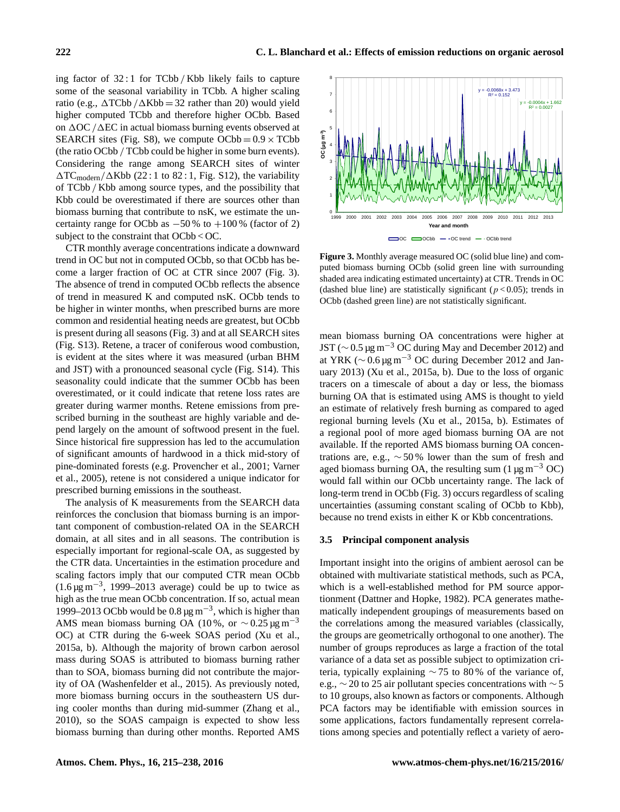ing factor of 32 : 1 for TCbb / Kbb likely fails to capture some of the seasonal variability in TCbb. A higher scaling ratio (e.g.,  $\Delta TCbb / \Delta Kb = 32$  rather than 20) would yield higher computed TCbb and therefore higher OCbb. Based on  $\Delta$ OC / $\Delta$ EC in actual biomass burning events observed at SEARCH sites (Fig. S8), we compute  $OCbb = 0.9 \times TCbb$ (the ratio OCbb / TCbb could be higher in some burn events). Considering the range among SEARCH sites of winter  $\Delta \text{TC}_{\text{modern}}/\Delta \text{Kbb}$  (22 : 1 to 82 : 1, Fig. S12), the variability of TCbb / Kbb among source types, and the possibility that Kbb could be overestimated if there are sources other than biomass burning that contribute to nsK, we estimate the uncertainty range for OCbb as  $-50\%$  to  $+100\%$  (factor of 2) subject to the constraint that OCbb < OC.

CTR monthly average concentrations indicate a downward trend in OC but not in computed OCbb, so that OCbb has become a larger fraction of OC at CTR since 2007 (Fig. 3). The absence of trend in computed OCbb reflects the absence of trend in measured K and computed nsK. OCbb tends to be higher in winter months, when prescribed burns are more common and residential heating needs are greatest, but OCbb is present during all seasons (Fig. 3) and at all SEARCH sites (Fig. S13). Retene, a tracer of coniferous wood combustion, is evident at the sites where it was measured (urban BHM and JST) with a pronounced seasonal cycle (Fig. S14). This seasonality could indicate that the summer OCbb has been overestimated, or it could indicate that retene loss rates are greater during warmer months. Retene emissions from prescribed burning in the southeast are highly variable and depend largely on the amount of softwood present in the fuel. Since historical fire suppression has led to the accumulation of significant amounts of hardwood in a thick mid-story of pine-dominated forests (e.g. Provencher et al., 2001; Varner et al., 2005), retene is not considered a unique indicator for prescribed burning emissions in the southeast.

The analysis of K measurements from the SEARCH data reinforces the conclusion that biomass burning is an important component of combustion-related OA in the SEARCH domain, at all sites and in all seasons. The contribution is especially important for regional-scale OA, as suggested by the CTR data. Uncertainties in the estimation procedure and scaling factors imply that our computed CTR mean OCbb (1.6  $\mu$ g m<sup>-3</sup>, 1999–2013 average) could be up to twice as high as the true mean OCbb concentration. If so, actual mean 1999–2013 OCbb would be  $0.8 \,\mathrm{\upmu g\,m^{-3}}$ , which is higher than AMS mean biomass burning OA (10%, or  $\sim$  0.25 µg m<sup>-3</sup> OC) at CTR during the 6-week SOAS period (Xu et al., 2015a, b). Although the majority of brown carbon aerosol mass during SOAS is attributed to biomass burning rather than to SOA, biomass burning did not contribute the majority of OA (Washenfelder et al., 2015). As previously noted, more biomass burning occurs in the southeastern US during cooler months than during mid-summer (Zhang et al., 2010), so the SOAS campaign is expected to show less biomass burning than during other months. Reported AMS



**Figure 3.** Monthly average measured OC (solid blue line) and computed biomass burning OCbb (solid green line with surrounding shaded area indicating estimated uncertainty) at CTR. Trends in OC (dashed blue line) are statistically significant ( $p < 0.05$ ); trends in OCbb (dashed green line) are not statistically significant.

mean biomass burning OA concentrations were higher at JST ( $\sim$  0.5 µg m<sup>-3</sup> OC during May and December 2012) and at YRK ( $\sim$  0.6 µg m<sup>-3</sup> OC during December 2012 and January 2013) (Xu et al., 2015a, b). Due to the loss of organic tracers on a timescale of about a day or less, the biomass burning OA that is estimated using AMS is thought to yield an estimate of relatively fresh burning as compared to aged regional burning levels (Xu et al., 2015a, b). Estimates of a regional pool of more aged biomass burning OA are not available. If the reported AMS biomass burning OA concentrations are, e.g.,  $\sim 50\%$  lower than the sum of fresh and aged biomass burning OA, the resulting sum (1  $\mu$ g m<sup>-3</sup> OC) would fall within our OCbb uncertainty range. The lack of long-term trend in OCbb (Fig. 3) occurs regardless of scaling uncertainties (assuming constant scaling of OCbb to Kbb), because no trend exists in either K or Kbb concentrations.

#### **3.5 Principal component analysis**

Important insight into the origins of ambient aerosol can be obtained with multivariate statistical methods, such as PCA, which is a well-established method for PM source apportionment (Dattner and Hopke, 1982). PCA generates mathematically independent groupings of measurements based on the correlations among the measured variables (classically, the groups are geometrically orthogonal to one another). The number of groups reproduces as large a fraction of the total variance of a data set as possible subject to optimization criteria, typically explaining ∼ 75 to 80 % of the variance of, e.g., ∼ 20 to 25 air pollutant species concentrations with ∼ 5 to 10 groups, also known as factors or components. Although PCA factors may be identifiable with emission sources in some applications, factors fundamentally represent correlations among species and potentially reflect a variety of aero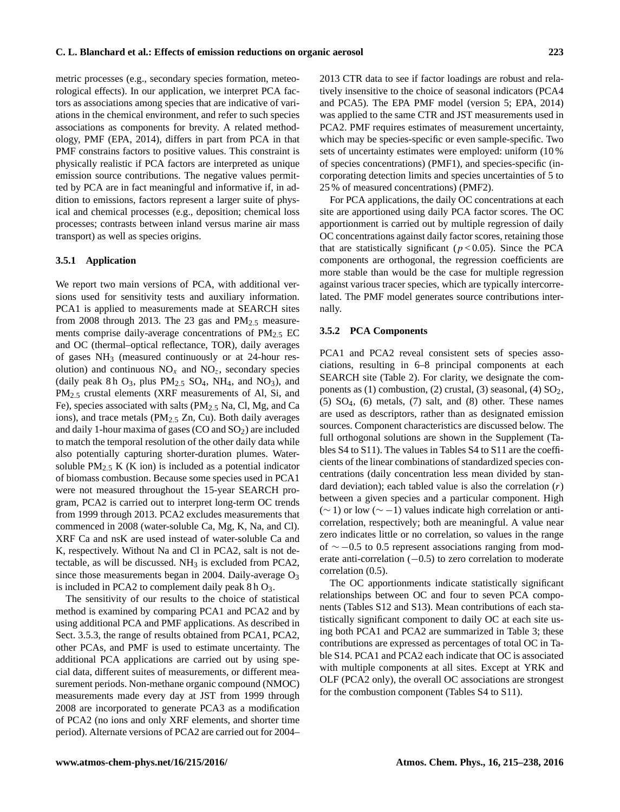metric processes (e.g., secondary species formation, meteorological effects). In our application, we interpret PCA factors as associations among species that are indicative of variations in the chemical environment, and refer to such species associations as components for brevity. A related methodology, PMF (EPA, 2014), differs in part from PCA in that PMF constrains factors to positive values. This constraint is physically realistic if PCA factors are interpreted as unique emission source contributions. The negative values permitted by PCA are in fact meaningful and informative if, in addition to emissions, factors represent a larger suite of physical and chemical processes (e.g., deposition; chemical loss processes; contrasts between inland versus marine air mass transport) as well as species origins.

## **3.5.1 Application**

We report two main versions of PCA, with additional versions used for sensitivity tests and auxiliary information. PCA1 is applied to measurements made at SEARCH sites from 2008 through 2013. The 23 gas and  $PM_{2.5}$  measurements comprise daily-average concentrations of  $PM_{2.5}$  EC and OC (thermal–optical reflectance, TOR), daily averages of gases NH<sup>3</sup> (measured continuously or at 24-hour resolution) and continuous  $NO_x$  and  $NO_z$ , secondary species (daily peak 8 h  $O_3$ , plus  $PM_{2.5}$  SO<sub>4</sub>, NH<sub>4</sub>, and NO<sub>3</sub>), and PM<sub>2.5</sub> crustal elements (XRF measurements of Al, Si, and Fe), species associated with salts  $(PM<sub>2.5</sub> Na, Cl, Mg, and Ca)$ ions), and trace metals ( $PM_{2.5}$  Zn, Cu). Both daily averages and daily 1-hour maxima of gases (CO and  $SO<sub>2</sub>$ ) are included to match the temporal resolution of the other daily data while also potentially capturing shorter-duration plumes. Watersoluble  $PM_{2.5}$  K (K ion) is included as a potential indicator of biomass combustion. Because some species used in PCA1 were not measured throughout the 15-year SEARCH program, PCA2 is carried out to interpret long-term OC trends from 1999 through 2013. PCA2 excludes measurements that commenced in 2008 (water-soluble Ca, Mg, K, Na, and Cl). XRF Ca and nsK are used instead of water-soluble Ca and K, respectively. Without Na and Cl in PCA2, salt is not detectable, as will be discussed.  $NH<sub>3</sub>$  is excluded from PCA2, since those measurements began in 2004. Daily-average  $O_3$ is included in PCA2 to complement daily peak  $8 h O_3$ .

The sensitivity of our results to the choice of statistical method is examined by comparing PCA1 and PCA2 and by using additional PCA and PMF applications. As described in Sect. 3.5.3, the range of results obtained from PCA1, PCA2, other PCAs, and PMF is used to estimate uncertainty. The additional PCA applications are carried out by using special data, different suites of measurements, or different measurement periods. Non-methane organic compound (NMOC) measurements made every day at JST from 1999 through 2008 are incorporated to generate PCA3 as a modification of PCA2 (no ions and only XRF elements, and shorter time period). Alternate versions of PCA2 are carried out for 2004–

2013 CTR data to see if factor loadings are robust and relatively insensitive to the choice of seasonal indicators (PCA4 and PCA5). The EPA PMF model (version 5; EPA, 2014) was applied to the same CTR and JST measurements used in PCA2. PMF requires estimates of measurement uncertainty, which may be species-specific or even sample-specific. Two sets of uncertainty estimates were employed: uniform (10 % of species concentrations) (PMF1), and species-specific (incorporating detection limits and species uncertainties of 5 to 25 % of measured concentrations) (PMF2).

For PCA applications, the daily OC concentrations at each site are apportioned using daily PCA factor scores. The OC apportionment is carried out by multiple regression of daily OC concentrations against daily factor scores, retaining those that are statistically significant ( $p < 0.05$ ). Since the PCA components are orthogonal, the regression coefficients are more stable than would be the case for multiple regression against various tracer species, which are typically intercorrelated. The PMF model generates source contributions internally.

#### **3.5.2 PCA Components**

PCA1 and PCA2 reveal consistent sets of species associations, resulting in 6–8 principal components at each SEARCH site (Table 2). For clarity, we designate the components as (1) combustion, (2) crustal, (3) seasonal, (4)  $SO<sub>2</sub>$ ,  $(5)$   $SO_4$ ,  $(6)$  metals,  $(7)$  salt, and  $(8)$  other. These names are used as descriptors, rather than as designated emission sources. Component characteristics are discussed below. The full orthogonal solutions are shown in the Supplement (Tables S4 to S11). The values in Tables S4 to S11 are the coefficients of the linear combinations of standardized species concentrations (daily concentration less mean divided by standard deviation); each tabled value is also the correlation  $(r)$ between a given species and a particular component. High  $(\sim 1)$  or low  $(\sim -1)$  values indicate high correlation or anticorrelation, respectively; both are meaningful. A value near zero indicates little or no correlation, so values in the range of ∼ −0.5 to 0.5 represent associations ranging from moderate anti-correlation  $(-0.5)$  to zero correlation to moderate correlation (0.5).

The OC apportionments indicate statistically significant relationships between OC and four to seven PCA components (Tables S12 and S13). Mean contributions of each statistically significant component to daily OC at each site using both PCA1 and PCA2 are summarized in Table 3; these contributions are expressed as percentages of total OC in Table S14. PCA1 and PCA2 each indicate that OC is associated with multiple components at all sites. Except at YRK and OLF (PCA2 only), the overall OC associations are strongest for the combustion component (Tables S4 to S11).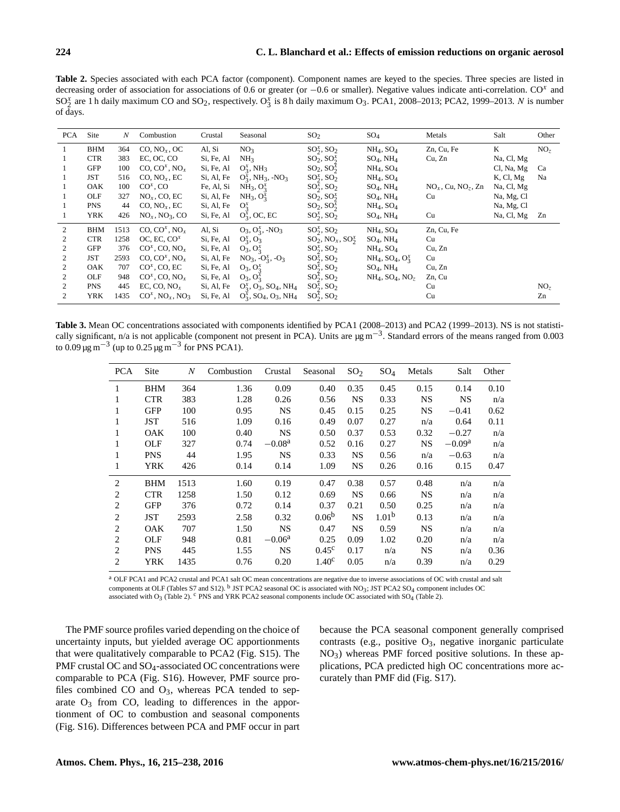**Table 2.** Species associated with each PCA factor (component). Component names are keyed to the species. Three species are listed in decreasing order of association for associations of 0.6 or greater (or  $-0.6$  or smaller). Negative values indicate anti-correlation.  $CO<sup>x</sup>$  and  $SO_2^x$  are 1 h daily maximum CO and  $SO_2$ , respectively.  $O_3^x$  is 8 h daily maximum  $O_3$ . PCA1, 2008–2013; PCA2, 1999–2013. N is number of days.

| <b>PCA</b> | Site       | N    | Combustion                                 | Crustal    | Seasonal                                                     | SO <sub>2</sub>                     | $SO_4$                    | Metals                            | Salt       | Other           |
|------------|------------|------|--------------------------------------------|------------|--------------------------------------------------------------|-------------------------------------|---------------------------|-----------------------------------|------------|-----------------|
|            | <b>BHM</b> | 364  | CO, NO <sub>x</sub> , OC                   | Al, Si     | NO <sub>3</sub>                                              | $SO_2^x$ , $SO_2$                   | $NH_4$ , $SO_4$           | Zn, Cu, Fe                        | K          | NO <sub>7</sub> |
|            | <b>CTR</b> | 383  | EC, OC, CO                                 | Si, Fe, Al | NH <sub>3</sub>                                              | $SO_2, SO_2^x$                      | $SO_4$ , NH <sub>4</sub>  | Cu, Zn                            | Na, Cl, Mg |                 |
|            | <b>GFP</b> | 100  | CO, CO <sup>x</sup> , NO <sub>x</sub>      | Si, Fe, Al | $O_2^x$ , NH <sub>3</sub>                                    | $SO_2, SO_2^x$                      | $NH_4$ , $SO_4$           |                                   | Cl, Na, Mg | Ca              |
|            | <b>JST</b> | 516  | CO, NO <sub>x</sub> , EC                   | Si, Al, Fe | $O_3^x$ , NH <sub>3</sub> , -NO <sub>3</sub>                 | $SO_2^x$ , $SO_2$                   | $NH_4$ , $SO_4$           |                                   | K, Cl, Mg  | Na              |
|            | OAK        | 100  | $COx$ , CO                                 | Fe, Al, Si | $NH_3$ , $O_2^x$                                             | $SO_2^x$ , $SO_2$                   | $SO_4$ , NH <sub>4</sub>  | $NO_x$ , Cu, NO <sub>z</sub> , Zn | Na, Cl, Mg |                 |
|            | OLF        | 327  | $NOx$ , CO, EC                             | Si, Al, Fe | $NH_3$ , $O_3^x$                                             | $SO_2, SO_2^x$                      | $SO_4$ , NH <sub>4</sub>  | Cu                                | Na, Mg, Cl |                 |
|            | <b>PNS</b> | 44   | CO, NO <sub>x</sub> , EC                   | Si, Al, Fe | $O_2^x$                                                      | $SO_2, SO_2^x$                      | $NH_4$ , $SO_4$           |                                   | Na, Mg, Cl |                 |
|            | <b>YRK</b> | 426  | $NOx$ , $NO3$ , CO                         | Si, Fe, Al | $O_2^x$ , OC, EC                                             | $SO_2^x$ , $SO_2$                   | $SO_4$ , NH <sub>4</sub>  | Cu                                | Na, Cl, Mg | Zn              |
| 2          | <b>BHM</b> | 1513 | CO, $CO^x$ , $NO_x$                        | Al, Si     | $O_3, O_3^x, -NO_3$                                          | $SO_2^x$ , $SO_2$                   | $NH_4$ , $SO_4$           | Zn, Cu, Fe                        |            |                 |
| 2          | <b>CTR</b> | 1258 | OC, EC, $COx$                              | Si, Fe, Al | $O_2^x$ , $O_3$                                              | $SO_2$ , NO <sub>x</sub> , $SO_2^x$ | $SO_4$ , NH <sub>4</sub>  | Cu                                |            |                 |
| 2          | GFP        | 376  | $COx$ , CO, NO <sub>x</sub>                | Si, Fe, Al | $O_3, O_3^x$                                                 | $SO_2^x$ , $SO_2$                   | $NH_4$ , $SO_4$           | Cu, Zn                            |            |                 |
| 2          | <b>JST</b> | 2593 | CO, CO <sup>x</sup> , NO <sub>x</sub>      | Si, Al, Fe | $NO_3, -O_2^x, -O_3$                                         | $SO_2^x$ , $SO_2$                   | $NH_4$ , $SO_4$ , $O_3^x$ | Cu                                |            |                 |
| 2          | OAK        | 707  | $COx$ , CO, EC                             | Si, Fe, Al | $O_3, O_3^x$                                                 | $SO_2^x$ , $SO_2$                   | $SO_4$ , NH <sub>4</sub>  | Cu, Zn                            |            |                 |
| 2          | OLF        | 948  | $COx$ , CO, NO <sub>x</sub>                | Si, Fe, Al | $O_3, O_2^x$                                                 | $SO_2^x$ , $SO_2$                   | $NH_4$ , $SO_4$ , $NO_z$  | Zn, Cu                            |            |                 |
| 2          | <b>PNS</b> | 445  | EC, CO, $NOx$                              | Si, Al, Fe | $O_3^x$ , $O_3$ , $SO_4$ , NH <sub>4</sub>                   | $SO_2^x$ , $SO_2$                   |                           | Cu                                |            | NO <sub>z</sub> |
| 2          | YRK        | 1435 | $CO^x$ , NO <sub>x</sub> , NO <sub>3</sub> | Si, Fe, Al | $O_3^x$ , SO <sub>4</sub> , O <sub>3</sub> , NH <sub>4</sub> | $SO_2^x$ , $SO_2$                   |                           | Cu                                |            | Zn              |

**Table 3.** Mean OC concentrations associated with components identified by PCA1 (2008–2013) and PCA2 (1999–2013). NS is not statistically significant, n/a is not applicable (component not present in PCA). Units are  $\mu$ g m<sup>-3</sup>. Standard errors of the means ranged from 0.003 to 0.09 μg m<sup>-3</sup> (up to 0.25 μg m<sup>-3</sup> for PNS PCA1).

| <b>PCA</b> | Site       | $\boldsymbol{N}$ | Combustion | Crustal   | Seasonal          | SO <sub>2</sub> | $SO_4$            | Metals    | Salt      | Other |
|------------|------------|------------------|------------|-----------|-------------------|-----------------|-------------------|-----------|-----------|-------|
| 1          | <b>BHM</b> | 364              | 1.36       | 0.09      | 0.40              | 0.35            | 0.45              | 0.15      | 0.14      | 0.10  |
| 1          | <b>CTR</b> | 383              | 1.28       | 0.26      | 0.56              | <b>NS</b>       | 0.33              | <b>NS</b> | <b>NS</b> | n/a   |
| 1          | <b>GFP</b> | 100              | 0.95       | <b>NS</b> | 0.45              | 0.15            | 0.25              | <b>NS</b> | $-0.41$   | 0.62  |
| 1          | JST        | 516              | 1.09       | 0.16      | 0.49              | 0.07            | 0.27              | n/a       | 0.64      | 0.11  |
| 1          | <b>OAK</b> | 100              | 0.40       | <b>NS</b> | 0.50              | 0.37            | 0.53              | 0.32      | $-0.27$   | n/a   |
| 1          | OLF        | 327              | 0.74       | $-0.08a$  | 0.52              | 0.16            | 0.27              | <b>NS</b> | $-0.09a$  | n/a   |
| 1          | <b>PNS</b> | 44               | 1.95       | <b>NS</b> | 0.33              | <b>NS</b>       | 0.56              | n/a       | $-0.63$   | n/a   |
| 1          | <b>YRK</b> | 426              | 0.14       | 0.14      | 1.09              | <b>NS</b>       | 0.26              | 0.16      | 0.15      | 0.47  |
| 2          | <b>BHM</b> | 1513             | 1.60       | 0.19      | 0.47              | 0.38            | 0.57              | 0.48      | n/a       | n/a   |
| 2          | <b>CTR</b> | 1258             | 1.50       | 0.12      | 0.69              | <b>NS</b>       | 0.66              | <b>NS</b> | n/a       | n/a   |
| 2          | <b>GFP</b> | 376              | 0.72       | 0.14      | 0.37              | 0.21            | 0.50              | 0.25      | n/a       | n/a   |
| 2          | JST        | 2593             | 2.58       | 0.32      | 0.06 <sup>b</sup> | <b>NS</b>       | 1.01 <sup>b</sup> | 0.13      | n/a       | n/a   |
| 2          | <b>OAK</b> | 707              | 1.50       | <b>NS</b> | 0.47              | <b>NS</b>       | 0.59              | <b>NS</b> | n/a       | n/a   |
| 2          | OLF        | 948              | 0.81       | $-0.06a$  | 0.25              | 0.09            | 1.02              | 0.20      | n/a       | n/a   |
| 2          | <b>PNS</b> | 445              | 1.55       | <b>NS</b> | 0.45 <sup>c</sup> | 0.17            | n/a               | <b>NS</b> | n/a       | 0.36  |
| 2          | <b>YRK</b> | 1435             | 0.76       | 0.20      | 1.40 <sup>c</sup> | 0.05            | n/a               | 0.39      | n/a       | 0.29  |

<sup>a</sup> OLF PCA1 and PCA2 crustal and PCA1 salt OC mean concentrations are negative due to inverse associations of OC with crustal and salt components at OLF (Tables S7 and S12). <sup>b</sup> JST PCA2 seasonal OC is associated with NO<sub>3</sub>; JST PCA2 SO<sub>4</sub> component includes OC associated with O<sub>3</sub> (Table 2). <sup>c</sup> PNS and YRK PCA2 seasonal components include OC associated with SO<sub>4</sub> (Table 2).

The PMF source profiles varied depending on the choice of uncertainty inputs, but yielded average OC apportionments that were qualitatively comparable to PCA2 (Fig. S15). The PMF crustal OC and SO<sub>4</sub>-associated OC concentrations were comparable to PCA (Fig. S16). However, PMF source profiles combined CO and  $O_3$ , whereas PCA tended to separate  $O_3$  from CO, leading to differences in the apportionment of OC to combustion and seasonal components (Fig. S16). Differences between PCA and PMF occur in part because the PCA seasonal component generally comprised contrasts (e.g., positive  $O_3$ , negative inorganic particulate  $NO<sub>3</sub>$ ) whereas PMF forced positive solutions. In these applications, PCA predicted high OC concentrations more accurately than PMF did (Fig. S17).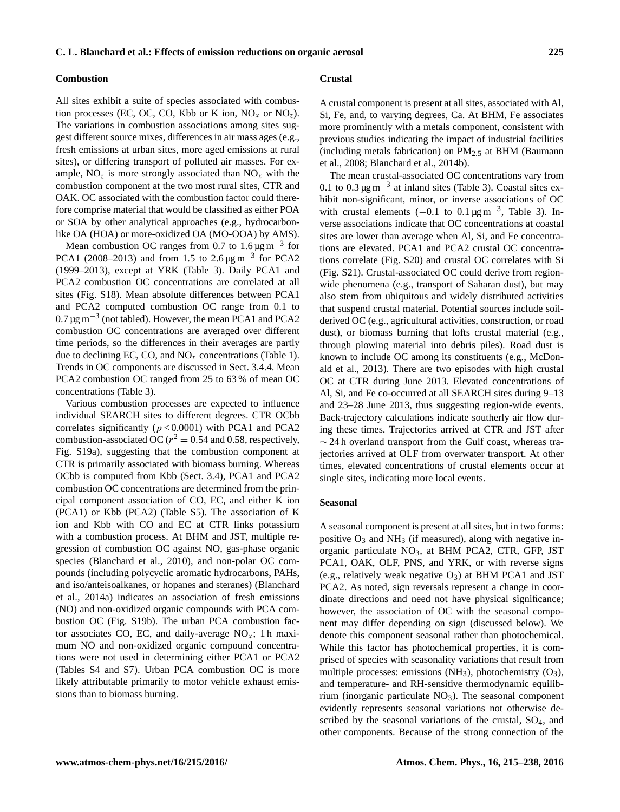#### **Combustion**

All sites exhibit a suite of species associated with combustion processes (EC, OC, CO, Kbb or K ion,  $NO_x$  or  $NO_z$ ). The variations in combustion associations among sites suggest different source mixes, differences in air mass ages (e.g., fresh emissions at urban sites, more aged emissions at rural sites), or differing transport of polluted air masses. For example,  $NO<sub>z</sub>$  is more strongly associated than  $NO<sub>x</sub>$  with the combustion component at the two most rural sites, CTR and OAK. OC associated with the combustion factor could therefore comprise material that would be classified as either POA or SOA by other analytical approaches (e.g., hydrocarbonlike OA (HOA) or more-oxidized OA (MO-OOA) by AMS).

Mean combustion OC ranges from 0.7 to 1.6  $\mu$ g m<sup>-3</sup> for PCA1 (2008–2013) and from 1.5 to 2.6  $\mu$ g m<sup>-3</sup> for PCA2 (1999–2013), except at YRK (Table 3). Daily PCA1 and PCA2 combustion OC concentrations are correlated at all sites (Fig. S18). Mean absolute differences between PCA1 and PCA2 computed combustion OC range from 0.1 to  $0.7 \,\mathrm{\mu g\,m}^{-3}$  (not tabled). However, the mean PCA1 and PCA2 combustion OC concentrations are averaged over different time periods, so the differences in their averages are partly due to declining EC, CO, and  $NO<sub>x</sub>$  concentrations (Table 1). Trends in OC components are discussed in Sect. 3.4.4. Mean PCA2 combustion OC ranged from 25 to 63 % of mean OC concentrations (Table 3).

Various combustion processes are expected to influence individual SEARCH sites to different degrees. CTR OCbb correlates significantly ( $p < 0.0001$ ) with PCA1 and PCA2 combustion-associated OC ( $r^2 = 0.54$  and 0.58, respectively, Fig. S19a), suggesting that the combustion component at CTR is primarily associated with biomass burning. Whereas OCbb is computed from Kbb (Sect. 3.4), PCA1 and PCA2 combustion OC concentrations are determined from the principal component association of CO, EC, and either K ion (PCA1) or Kbb (PCA2) (Table S5). The association of K ion and Kbb with CO and EC at CTR links potassium with a combustion process. At BHM and JST, multiple regression of combustion OC against NO, gas-phase organic species (Blanchard et al., 2010), and non-polar OC compounds (including polycyclic aromatic hydrocarbons, PAHs, and iso/anteisoalkanes, or hopanes and steranes) (Blanchard et al., 2014a) indicates an association of fresh emissions (NO) and non-oxidized organic compounds with PCA combustion OC (Fig. S19b). The urban PCA combustion factor associates CO, EC, and daily-average  $NO<sub>x</sub>$ ; 1 h maximum NO and non-oxidized organic compound concentrations were not used in determining either PCA1 or PCA2 (Tables S4 and S7). Urban PCA combustion OC is more likely attributable primarily to motor vehicle exhaust emissions than to biomass burning.

#### **Crustal**

A crustal component is present at all sites, associated with Al, Si, Fe, and, to varying degrees, Ca. At BHM, Fe associates more prominently with a metals component, consistent with previous studies indicating the impact of industrial facilities (including metals fabrication) on  $PM_2$ , at BHM (Baumann et al., 2008; Blanchard et al., 2014b).

The mean crustal-associated OC concentrations vary from 0.1 to  $0.3 \,\mathrm{\upmu}\mathrm{g}\,\mathrm{m}^{-3}$  at inland sites (Table 3). Coastal sites exhibit non-significant, minor, or inverse associations of OC with crustal elements  $(-0.1 \text{ to } 0.1 \mu \text{g m}^{-3})$ , Table 3). Inverse associations indicate that OC concentrations at coastal sites are lower than average when Al, Si, and Fe concentrations are elevated. PCA1 and PCA2 crustal OC concentrations correlate (Fig. S20) and crustal OC correlates with Si (Fig. S21). Crustal-associated OC could derive from regionwide phenomena (e.g., transport of Saharan dust), but may also stem from ubiquitous and widely distributed activities that suspend crustal material. Potential sources include soilderived OC (e.g., agricultural activities, construction, or road dust), or biomass burning that lofts crustal material (e.g., through plowing material into debris piles). Road dust is known to include OC among its constituents (e.g., McDonald et al., 2013). There are two episodes with high crustal OC at CTR during June 2013. Elevated concentrations of Al, Si, and Fe co-occurred at all SEARCH sites during 9–13 and 23–28 June 2013, thus suggesting region-wide events. Back-trajectory calculations indicate southerly air flow during these times. Trajectories arrived at CTR and JST after  $\sim$  24 h overland transport from the Gulf coast, whereas trajectories arrived at OLF from overwater transport. At other times, elevated concentrations of crustal elements occur at single sites, indicating more local events.

## **Seasonal**

A seasonal component is present at all sites, but in two forms: positive  $O_3$  and NH<sub>3</sub> (if measured), along with negative inorganic particulate  $NO<sub>3</sub>$ , at BHM PCA2, CTR, GFP, JST PCA1, OAK, OLF, PNS, and YRK, or with reverse signs (e.g., relatively weak negative  $O_3$ ) at BHM PCA1 and JST PCA2. As noted, sign reversals represent a change in coordinate directions and need not have physical significance; however, the association of OC with the seasonal component may differ depending on sign (discussed below). We denote this component seasonal rather than photochemical. While this factor has photochemical properties, it is comprised of species with seasonality variations that result from multiple processes: emissions  $(NH_3)$ , photochemistry  $(O_3)$ , and temperature- and RH-sensitive thermodynamic equilibrium (inorganic particulate  $NO<sub>3</sub>$ ). The seasonal component evidently represents seasonal variations not otherwise described by the seasonal variations of the crustal,  $SO_4$ , and other components. Because of the strong connection of the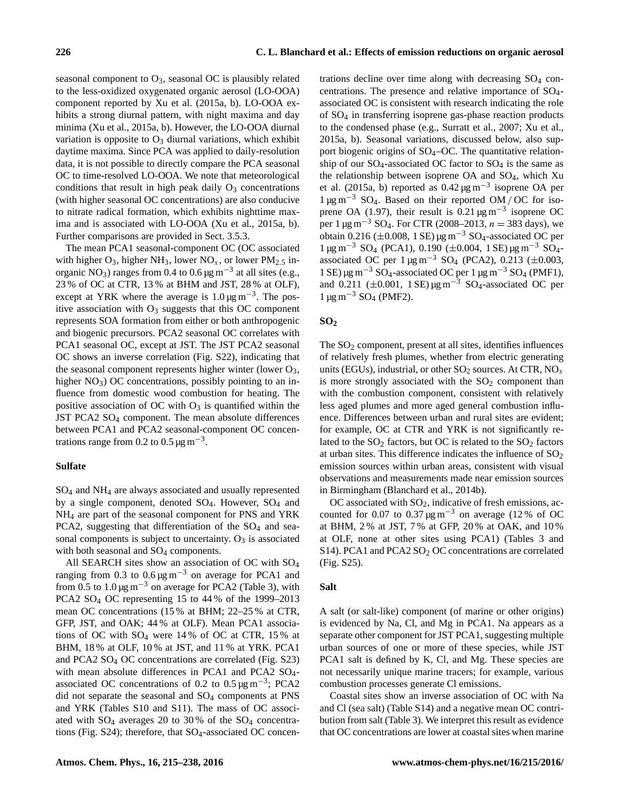seasonal component to  $O_3$ , seasonal OC is plausibly related to the less-oxidized oxygenated organic aerosol (LO-OOA) component reported by Xu et al. (2015a, b). LO-OOA exhibits a strong diurnal pattern, with night maxima and day minima (Xu et al., 2015a, b). However, the LO-OOA diurnal variation is opposite to  $O_3$  diurnal variations, which exhibit daytime maxima. Since PCA was applied to daily-resolution data, it is not possible to directly compare the PCA seasonal OC to time-resolved LO-OOA. We note that meteorological conditions that result in high peak daily  $O_3$  concentrations (with higher seasonal OC concentrations) are also conducive to nitrate radical formation, which exhibits nighttime maxima and is associated with LO-OOA (Xu et al., 2015a, b). Further comparisons are provided in Sect. 3.5.3.

The mean PCA1 seasonal-component OC (OC associated with higher  $O_3$ , higher NH<sub>3</sub>, lower NO<sub>x</sub>, or lower PM<sub>2.5</sub> inorganic NO<sub>3</sub>) ranges from 0.4 to 0.6  $\mu$ g m<sup>-3</sup> at all sites (e.g., 23 % of OC at CTR, 13 % at BHM and JST, 28 % at OLF), except at YRK where the average is  $1.0 \,\text{\mu g m}^{-3}$ . The positive association with  $O_3$  suggests that this OC component represents SOA formation from either or both anthropogenic and biogenic precursors. PCA2 seasonal OC correlates with PCA1 seasonal OC, except at JST. The JST PCA2 seasonal OC shows an inverse correlation (Fig. S22), indicating that the seasonal component represents higher winter (lower  $O_3$ , higher  $NO<sub>3</sub>$ ) OC concentrations, possibly pointing to an influence from domestic wood combustion for heating. The positive association of OC with  $O_3$  is quantified within the JST PCA2 SO<sup>4</sup> component. The mean absolute differences between PCA1 and PCA2 seasonal-component OC concentrations range from 0.2 to  $0.5 \,\mathrm{\mu g\,m}^{-3}$ .

# **Sulfate**

SO<sup>4</sup> and NH<sup>4</sup> are always associated and usually represented by a single component, denoted  $SO_4$ . However,  $SO_4$  and NH<sup>4</sup> are part of the seasonal component for PNS and YRK PCA2, suggesting that differentiation of the SO<sub>4</sub> and seasonal components is subject to uncertainty.  $O_3$  is associated with both seasonal and  $SO_4$  components.

All SEARCH sites show an association of OC with SO<sup>4</sup> ranging from 0.3 to  $0.6 \mu g m^{-3}$  on average for PCA1 and from 0.5 to 1.0  $\mu$ g m<sup>-3</sup> on average for PCA2 (Table 3), with PCA2 SO<sup>4</sup> OC representing 15 to 44 % of the 1999–2013 mean OC concentrations (15 % at BHM; 22–25 % at CTR, GFP, JST, and OAK; 44 % at OLF). Mean PCA1 associations of OC with  $SO_4$  were 14% of OC at CTR, 15% at BHM, 18 % at OLF, 10 % at JST, and 11 % at YRK. PCA1 and PCA2 SO<sup>4</sup> OC concentrations are correlated (Fig. S23) with mean absolute differences in PCA1 and PCA2 SO<sub>4</sub>associated OC concentrations of 0.2 to 0.5  $\mu$ g m<sup>-3</sup>; PCA2 did not separate the seasonal and  $SO_4$  components at PNS and YRK (Tables S10 and S11). The mass of OC associated with  $SO_4$  averages 20 to 30% of the  $SO_4$  concentrations (Fig.  $S24$ ); therefore, that  $SO_4$ -associated OC concen-

trations decline over time along with decreasing  $SO_4$  concentrations. The presence and relative importance of SO4 associated OC is consistent with research indicating the role of SO<sup>4</sup> in transferring isoprene gas-phase reaction products to the condensed phase (e.g., Surratt et al., 2007; Xu et al., 2015a, b). Seasonal variations, discussed below, also support biogenic origins of  $SO_4$ –OC. The quantitative relationship of our  $SO_4$ -associated OC factor to  $SO_4$  is the same as the relationship between isoprene  $OA$  and  $SO<sub>4</sub>$ , which Xu et al. (2015a, b) reported as  $0.42 \,\mathrm{\mu g\,m}^{-3}$  isoprene OA per  $1 \mu g \, \text{m}^{-3}$  SO<sub>4</sub>. Based on their reported OM / OC for isoprene OA (1.97), their result is  $0.21 \,\text{\mu g m}^{-3}$  isoprene OC per 1 µg m<sup>-3</sup> SO<sub>4</sub>. For CTR (2008–2013,  $n = 383$  days), we obtain 0.216 ( $\pm$ 0.008, 1 SE) µg m<sup>-3</sup> SO<sub>4</sub>-associated OC per  $1 \mu$ g m<sup>-3</sup> SO<sub>4</sub> (PCA1), 0.190 (±0.004, 1 SE)  $\mu$ g m<sup>-3</sup> SO<sub>4</sub>associated OC per  $1 \mu g m^{-3}$  SO<sub>4</sub> (PCA2), 0.213 (±0.003,  $1$  SE) μg m<sup>-3</sup> SO<sub>4</sub>-associated OC per 1 μg m<sup>-3</sup> SO<sub>4</sub> (PMF1), and 0.211 ( $\pm$ 0.001, 1 SE) µg m<sup>-3</sup> SO<sub>4</sub>-associated OC per  $1 \mu$ g m<sup>-3</sup> SO<sub>4</sub> (PMF2).

# **SO<sup>2</sup>**

The SO<sub>2</sub> component, present at all sites, identifies influences of relatively fresh plumes, whether from electric generating units (EGUs), industrial, or other  $SO_2$  sources. At CTR,  $NO_x$ is more strongly associated with the  $SO<sub>2</sub>$  component than with the combustion component, consistent with relatively less aged plumes and more aged general combustion influence. Differences between urban and rural sites are evident; for example, OC at CTR and YRK is not significantly related to the  $SO_2$  factors, but OC is related to the  $SO_2$  factors at urban sites. This difference indicates the influence of  $SO<sub>2</sub>$ emission sources within urban areas, consistent with visual observations and measurements made near emission sources in Birmingham (Blanchard et al., 2014b).

OC associated with  $SO_2$ , indicative of fresh emissions, accounted for 0.07 to 0.37  $\mu$ g m<sup>-3</sup> on average (12 % of OC at BHM, 2 % at JST, 7 % at GFP, 20 % at OAK, and 10 % at OLF, none at other sites using PCA1) (Tables 3 and S14). PCA1 and PCA2  $SO<sub>2</sub>$  OC concentrations are correlated (Fig. S25).

#### **Salt**

A salt (or salt-like) component (of marine or other origins) is evidenced by Na, Cl, and Mg in PCA1. Na appears as a separate other component for JST PCA1, suggesting multiple urban sources of one or more of these species, while JST PCA1 salt is defined by K, Cl, and Mg. These species are not necessarily unique marine tracers; for example, various combustion processes generate Cl emissions.

Coastal sites show an inverse association of OC with Na and Cl (sea salt) (Table S14) and a negative mean OC contribution from salt (Table 3). We interpret this result as evidence that OC concentrations are lower at coastal sites when marine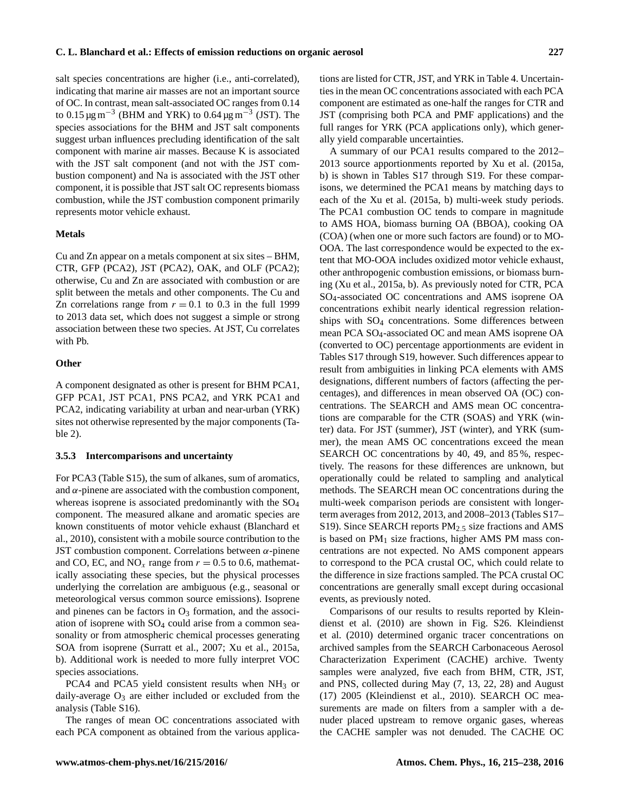salt species concentrations are higher (i.e., anti-correlated), indicating that marine air masses are not an important source of OC. In contrast, mean salt-associated OC ranges from 0.14 to 0.15  $\mu$ g m<sup>-3</sup> (BHM and YRK) to 0.64  $\mu$ g m<sup>-3</sup> (JST). The species associations for the BHM and JST salt components suggest urban influences precluding identification of the salt component with marine air masses. Because K is associated with the JST salt component (and not with the JST combustion component) and Na is associated with the JST other component, it is possible that JST salt OC represents biomass combustion, while the JST combustion component primarily represents motor vehicle exhaust.

# **Metals**

Cu and Zn appear on a metals component at six sites – BHM, CTR, GFP (PCA2), JST (PCA2), OAK, and OLF (PCA2); otherwise, Cu and Zn are associated with combustion or are split between the metals and other components. The Cu and Zn correlations range from  $r = 0.1$  to 0.3 in the full 1999 to 2013 data set, which does not suggest a simple or strong association between these two species. At JST, Cu correlates with Pb.

# **Other**

A component designated as other is present for BHM PCA1, GFP PCA1, JST PCA1, PNS PCA2, and YRK PCA1 and PCA2, indicating variability at urban and near-urban (YRK) sites not otherwise represented by the major components (Table 2).

## **3.5.3 Intercomparisons and uncertainty**

For PCA3 (Table S15), the sum of alkanes, sum of aromatics, and  $\alpha$ -pinene are associated with the combustion component, whereas isoprene is associated predominantly with the  $SO_4$ component. The measured alkane and aromatic species are known constituents of motor vehicle exhaust (Blanchard et al., 2010), consistent with a mobile source contribution to the JST combustion component. Correlations between  $\alpha$ -pinene and CO, EC, and NO<sub>x</sub> range from  $r = 0.5$  to 0.6, mathematically associating these species, but the physical processes underlying the correlation are ambiguous (e.g., seasonal or meteorological versus common source emissions). Isoprene and pinenes can be factors in  $O_3$  formation, and the association of isoprene with  $SO_4$  could arise from a common seasonality or from atmospheric chemical processes generating SOA from isoprene (Surratt et al., 2007; Xu et al., 2015a, b). Additional work is needed to more fully interpret VOC species associations.

PCA4 and PCA5 yield consistent results when  $NH<sub>3</sub>$  or daily-average  $O_3$  are either included or excluded from the analysis (Table S16).

The ranges of mean OC concentrations associated with each PCA component as obtained from the various applications are listed for CTR, JST, and YRK in Table 4. Uncertainties in the mean OC concentrations associated with each PCA component are estimated as one-half the ranges for CTR and JST (comprising both PCA and PMF applications) and the full ranges for YRK (PCA applications only), which generally yield comparable uncertainties.

A summary of our PCA1 results compared to the 2012– 2013 source apportionments reported by Xu et al. (2015a, b) is shown in Tables S17 through S19. For these comparisons, we determined the PCA1 means by matching days to each of the Xu et al. (2015a, b) multi-week study periods. The PCA1 combustion OC tends to compare in magnitude to AMS HOA, biomass burning OA (BBOA), cooking OA (COA) (when one or more such factors are found) or to MO-OOA. The last correspondence would be expected to the extent that MO-OOA includes oxidized motor vehicle exhaust, other anthropogenic combustion emissions, or biomass burning (Xu et al., 2015a, b). As previously noted for CTR, PCA SO4-associated OC concentrations and AMS isoprene OA concentrations exhibit nearly identical regression relationships with  $SO_4$  concentrations. Some differences between mean PCA SO4-associated OC and mean AMS isoprene OA (converted to OC) percentage apportionments are evident in Tables S17 through S19, however. Such differences appear to result from ambiguities in linking PCA elements with AMS designations, different numbers of factors (affecting the percentages), and differences in mean observed OA (OC) concentrations. The SEARCH and AMS mean OC concentrations are comparable for the CTR (SOAS) and YRK (winter) data. For JST (summer), JST (winter), and YRK (summer), the mean AMS OC concentrations exceed the mean SEARCH OC concentrations by 40, 49, and 85 %, respectively. The reasons for these differences are unknown, but operationally could be related to sampling and analytical methods. The SEARCH mean OC concentrations during the multi-week comparison periods are consistent with longerterm averages from 2012, 2013, and 2008–2013 (Tables S17– S19). Since SEARCH reports PM<sub>2.5</sub> size fractions and AMS is based on  $PM<sub>1</sub>$  size fractions, higher AMS PM mass concentrations are not expected. No AMS component appears to correspond to the PCA crustal OC, which could relate to the difference in size fractions sampled. The PCA crustal OC concentrations are generally small except during occasional events, as previously noted.

Comparisons of our results to results reported by Kleindienst et al. (2010) are shown in Fig. S26. Kleindienst et al. (2010) determined organic tracer concentrations on archived samples from the SEARCH Carbonaceous Aerosol Characterization Experiment (CACHE) archive. Twenty samples were analyzed, five each from BHM, CTR, JST, and PNS, collected during May (7, 13, 22, 28) and August (17) 2005 (Kleindienst et al., 2010). SEARCH OC measurements are made on filters from a sampler with a denuder placed upstream to remove organic gases, whereas the CACHE sampler was not denuded. The CACHE OC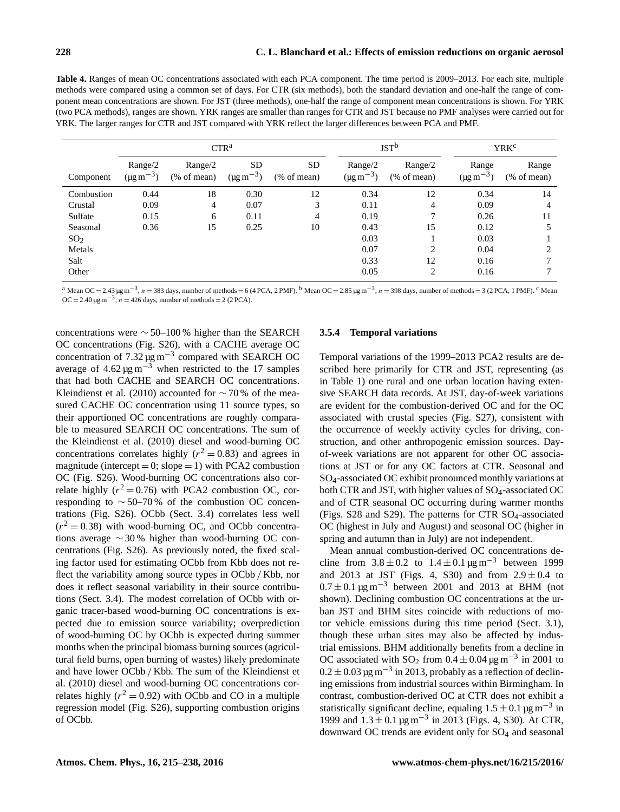**Table 4.** Ranges of mean OC concentrations associated with each PCA component. The time period is 2009–2013. For each site, multiple methods were compared using a common set of days. For CTR (six methods), both the standard deviation and one-half the range of component mean concentrations are shown. For JST (three methods), one-half the range of component mean concentrations is shown. For YRK (two PCA methods), ranges are shown. YRK ranges are smaller than ranges for CTR and JST because no PMF analyses were carried out for YRK. The larger ranges for CTR and JST compared with YRK reflect the larger differences between PCA and PMF.

|                 |                                       |                       | CTR <sup>a</sup>                        |                         |                                       | JST <sup>b</sup>        | <b>YRK<sup>c</sup></b>              |                                 |  |
|-----------------|---------------------------------------|-----------------------|-----------------------------------------|-------------------------|---------------------------------------|-------------------------|-------------------------------------|---------------------------------|--|
| Component       | Range/2<br>$(\mu g \, \text{m}^{-3})$ | Range/2<br>% of mean) | <b>SD</b><br>$(\mu g \, \text{m}^{-3})$ | <b>SD</b><br>% of mean) | Range/2<br>$(\mu g \, \text{m}^{-3})$ | Range/2<br>$%$ of mean) | Range<br>$(\mu g \, \text{m}^{-3})$ | Range<br>$(\% \text{ of mean})$ |  |
| Combustion      | 0.44                                  | 18                    | 0.30                                    | 12                      | 0.34                                  | 12                      | 0.34                                | 14                              |  |
| Crustal         | 0.09                                  | $\overline{4}$        | 0.07                                    | 3                       | 0.11                                  | 4                       | 0.09                                | 4                               |  |
| Sulfate         | 0.15                                  | 6                     | 0.11                                    | 4                       | 0.19                                  | 7                       | 0.26                                | 11                              |  |
| Seasonal        | 0.36                                  | 15                    | 0.25                                    | 10                      | 0.43                                  | 15                      | 0.12                                | 5                               |  |
| SO <sub>2</sub> |                                       |                       |                                         |                         | 0.03                                  |                         | 0.03                                |                                 |  |
| Metals          |                                       |                       |                                         |                         | 0.07                                  | 2                       | 0.04                                | 2                               |  |
| Salt            |                                       |                       |                                         |                         | 0.33                                  | 12                      | 0.16                                | 7                               |  |
| Other           |                                       |                       |                                         |                         | 0.05                                  | 2                       | 0.16                                |                                 |  |

<sup>a</sup> Mean OC = 2.43 µg m<sup>-3</sup>, n = 383 days, number of methods = 6 (4 PCA, 2 PMF). <sup>b</sup> Mean OC = 2.85 µg m<sup>-3</sup>, n = 398 days, number of methods = 3 (2 PCA, 1 PMF). <sup>c</sup> Mean  $OC = 2.40 \,\text{µg m}^{-3}$ ,  $n = 426 \text{ days}$ , number of methods = 2 (2 PCA).

concentrations were ∼ 50–100 % higher than the SEARCH OC concentrations (Fig. S26), with a CACHE average OC concentration of  $7.32 \,\text{\mu g\,m}^{-3}$  compared with SEARCH OC average of  $4.62 \,\mathrm{\upmu g\,m}^{-3}$  when restricted to the 17 samples that had both CACHE and SEARCH OC concentrations. Kleindienst et al. (2010) accounted for  $\sim$  70 % of the measured CACHE OC concentration using 11 source types, so their apportioned OC concentrations are roughly comparable to measured SEARCH OC concentrations. The sum of the Kleindienst et al. (2010) diesel and wood-burning OC concentrations correlates highly ( $r^2 = 0.83$ ) and agrees in magnitude (intercept =  $0$ ; slope = 1) with PCA2 combustion OC (Fig. S26). Wood-burning OC concentrations also correlate highly ( $r^2 = 0.76$ ) with PCA2 combustion OC, corresponding to ∼ 50–70 % of the combustion OC concentrations (Fig. S26). OCbb (Sect. 3.4) correlates less well  $(r^2 = 0.38)$  with wood-burning OC, and OCbb concentrations average ∼ 30 % higher than wood-burning OC concentrations (Fig. S26). As previously noted, the fixed scaling factor used for estimating OCbb from Kbb does not reflect the variability among source types in OCbb / Kbb, nor does it reflect seasonal variability in their source contributions (Sect. 3.4). The modest correlation of OCbb with organic tracer-based wood-burning OC concentrations is expected due to emission source variability; overprediction of wood-burning OC by OCbb is expected during summer months when the principal biomass burning sources (agricultural field burns, open burning of wastes) likely predominate and have lower OCbb / Kbb. The sum of the Kleindienst et al. (2010) diesel and wood-burning OC concentrations correlates highly ( $r^2 = 0.92$ ) with OCbb and CO in a multiple regression model (Fig. S26), supporting combustion origins of OCbb.

# **3.5.4 Temporal variations**

Temporal variations of the 1999–2013 PCA2 results are described here primarily for CTR and JST, representing (as in Table 1) one rural and one urban location having extensive SEARCH data records. At JST, day-of-week variations are evident for the combustion-derived OC and for the OC associated with crustal species (Fig. S27), consistent with the occurrence of weekly activity cycles for driving, construction, and other anthropogenic emission sources. Dayof-week variations are not apparent for other OC associations at JST or for any OC factors at CTR. Seasonal and SO4-associated OC exhibit pronounced monthly variations at both CTR and JST, with higher values of SO<sub>4</sub>-associated OC and of CTR seasonal OC occurring during warmer months (Figs.  $S28$  and  $S29$ ). The patterns for CTR  $SO_4$ -associated OC (highest in July and August) and seasonal OC (higher in spring and autumn than in July) are not independent.

Mean annual combustion-derived OC concentrations decline from  $3.8 \pm 0.2$  to  $1.4 \pm 0.1$  µg m<sup>-3</sup> between 1999 and 2013 at JST (Figs. 4, S30) and from  $2.9 \pm 0.4$  to  $0.7 \pm 0.1 \,\mathrm{kg \, m}^{-3}$  between 2001 and 2013 at BHM (not shown). Declining combustion OC concentrations at the urban JST and BHM sites coincide with reductions of motor vehicle emissions during this time period (Sect. 3.1), though these urban sites may also be affected by industrial emissions. BHM additionally benefits from a decline in OC associated with SO<sub>2</sub> from  $0.4 \pm 0.04 \,\text{\ensuremath{\mu}g\,m^{-3}}$  in 2001 to  $0.2 \pm 0.03 \,\mathrm{\upmu}\mathrm{g}\,\mathrm{m}^{-3}$  in 2013, probably as a reflection of declining emissions from industrial sources within Birmingham. In contrast, combustion-derived OC at CTR does not exhibit a statistically significant decline, equaling  $1.5 \pm 0.1$  µg m<sup>-3</sup> in 1999 and 1.3 ± 0.1 µg m−<sup>3</sup> in 2013 (Figs. 4, S30). At CTR, downward OC trends are evident only for SO<sup>4</sup> and seasonal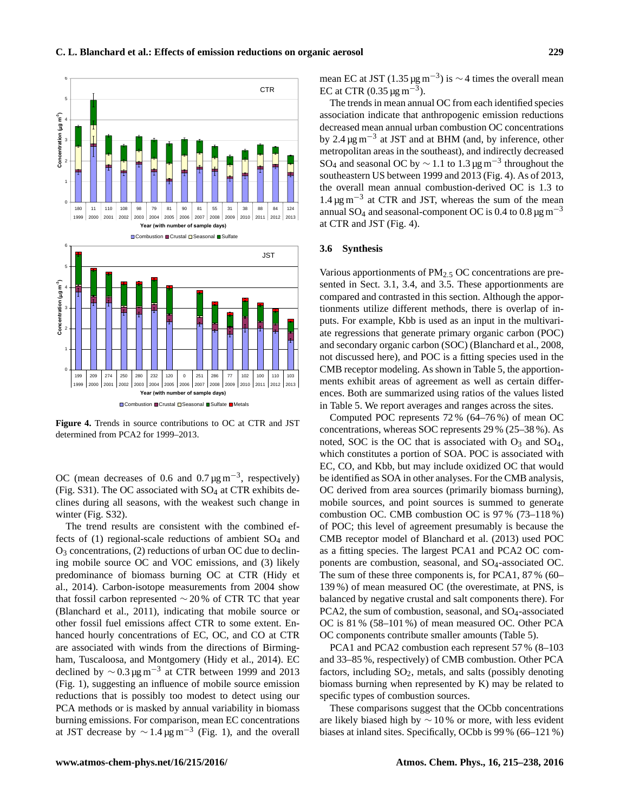

**Figure 4.** Trends in source contributions to OC at CTR and JST determined from PCA2 for 1999–2013.

OC (mean decreases of 0.6 and 0.7  $\mu$ g m<sup>-3</sup>, respectively) (Fig.  $S31$ ). The OC associated with  $SO_4$  at CTR exhibits declines during all seasons, with the weakest such change in winter (Fig. S32).

The trend results are consistent with the combined effects of  $(1)$  regional-scale reductions of ambient  $SO_4$  and  $O_3$  concentrations, (2) reductions of urban OC due to declining mobile source OC and VOC emissions, and (3) likely predominance of biomass burning OC at CTR (Hidy et al., 2014). Carbon-isotope measurements from 2004 show that fossil carbon represented  $\sim$  20% of CTR TC that year (Blanchard et al., 2011), indicating that mobile source or other fossil fuel emissions affect CTR to some extent. Enhanced hourly concentrations of EC, OC, and CO at CTR are associated with winds from the directions of Birmingham, Tuscaloosa, and Montgomery (Hidy et al., 2014). EC declined by  $\sim 0.3 \,\text{\mu g m}^{-3}$  at CTR between 1999 and 2013 (Fig. 1), suggesting an influence of mobile source emission reductions that is possibly too modest to detect using our PCA methods or is masked by annual variability in biomass burning emissions. For comparison, mean EC concentrations at JST decrease by  $\sim 1.4 \,\text{µg m}^{-3}$  (Fig. 1), and the overall

mean EC at JST (1.35  $\mu$ g m<sup>-3</sup>) is ~4 times the overall mean EC at CTR  $(0.35 \,\text{µg m}^{-3})$ .

The trends in mean annual OC from each identified species association indicate that anthropogenic emission reductions decreased mean annual urban combustion OC concentrations by 2.4 µg m−<sup>3</sup> at JST and at BHM (and, by inference, other metropolitan areas in the southeast), and indirectly decreased SO<sub>4</sub> and seasonal OC by  $\sim$  1.1 to 1.3 µg m<sup>-3</sup> throughout the southeastern US between 1999 and 2013 (Fig. 4). As of 2013, the overall mean annual combustion-derived OC is 1.3 to 1.4 µg m−<sup>3</sup> at CTR and JST, whereas the sum of the mean annual SO<sub>4</sub> and seasonal-component OC is 0.4 to 0.8  $\mu$ g m<sup>-3</sup> at CTR and JST (Fig. 4).

#### **3.6 Synthesis**

Various apportionments of PM2.<sup>5</sup> OC concentrations are presented in Sect. 3.1, 3.4, and 3.5. These apportionments are compared and contrasted in this section. Although the apportionments utilize different methods, there is overlap of inputs. For example, Kbb is used as an input in the multivariate regressions that generate primary organic carbon (POC) and secondary organic carbon (SOC) (Blanchard et al., 2008, not discussed here), and POC is a fitting species used in the CMB receptor modeling. As shown in Table 5, the apportionments exhibit areas of agreement as well as certain differences. Both are summarized using ratios of the values listed in Table 5. We report averages and ranges across the sites.

Computed POC represents 72 % (64–76 %) of mean OC concentrations, whereas SOC represents 29 % (25–38 %). As noted, SOC is the OC that is associated with  $O_3$  and  $SO_4$ , which constitutes a portion of SOA. POC is associated with EC, CO, and Kbb, but may include oxidized OC that would be identified as SOA in other analyses. For the CMB analysis, OC derived from area sources (primarily biomass burning), mobile sources, and point sources is summed to generate combustion OC. CMB combustion OC is 97 % (73–118 %) of POC; this level of agreement presumably is because the CMB receptor model of Blanchard et al. (2013) used POC as a fitting species. The largest PCA1 and PCA2 OC components are combustion, seasonal, and SO<sub>4</sub>-associated OC. The sum of these three components is, for PCA1, 87 % (60– 139 %) of mean measured OC (the overestimate, at PNS, is balanced by negative crustal and salt components there). For PCA2, the sum of combustion, seasonal, and SO<sub>4</sub>-associated OC is 81 % (58–101 %) of mean measured OC. Other PCA OC components contribute smaller amounts (Table 5).

PCA1 and PCA2 combustion each represent 57 % (8–103 and 33–85 %, respectively) of CMB combustion. Other PCA factors, including  $SO_2$ , metals, and salts (possibly denoting biomass burning when represented by K) may be related to specific types of combustion sources.

These comparisons suggest that the OCbb concentrations are likely biased high by  $\sim$  10% or more, with less evident biases at inland sites. Specifically, OCbb is 99 % (66–121 %)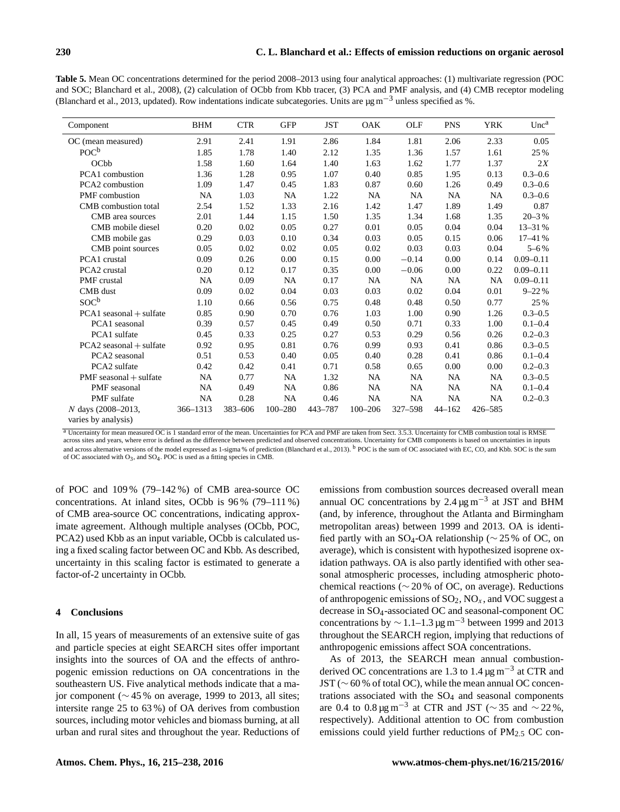**Table 5.** Mean OC concentrations determined for the period 2008–2013 using four analytical approaches: (1) multivariate regression (POC and SOC; Blanchard et al., 2008), (2) calculation of OCbb from Kbb tracer, (3) PCA and PMF analysis, and (4) CMB receptor modeling (Blanchard et al., 2013, updated). Row indentations indicate subcategories. Units are  $\mu$ g m<sup>-3</sup> unless specified as %.

| Component                   | <b>BHM</b> | <b>CTR</b> | <b>GFP</b>  | <b>JST</b> | <b>OAK</b>  | OLF     | <b>PNS</b> | <b>YRK</b> | Unc <sup>a</sup> |
|-----------------------------|------------|------------|-------------|------------|-------------|---------|------------|------------|------------------|
| OC (mean measured)          | 2.91       | 2.41       | 1.91        | 2.86       | 1.84        | 1.81    | 2.06       | 2.33       | 0.05             |
| $POC^b$                     | 1.85       | 1.78       | 1.40        | 2.12       | 1.35        | 1.36    | 1.57       | 1.61       | 25 %             |
| OCbb                        | 1.58       | 1.60       | 1.64        | 1.40       | 1.63        | 1.62    | 1.77       | 1.37       | 2X               |
| PCA1 combustion             | 1.36       | 1.28       | 0.95        | 1.07       | 0.40        | 0.85    | 1.95       | 0.13       | $0.3 - 0.6$      |
| PCA2 combustion             | 1.09       | 1.47       | 0.45        | 1.83       | 0.87        | 0.60    | 1.26       | 0.49       | $0.3 - 0.6$      |
| <b>PMF</b> combustion       | NA         | 1.03       | <b>NA</b>   | 1.22       | NA          | NA      | NA         | <b>NA</b>  | $0.3 - 0.6$      |
| CMB combustion total        | 2.54       | 1.52       | 1.33        | 2.16       | 1.42        | 1.47    | 1.89       | 1.49       | 0.87             |
| CMB area sources            | 2.01       | 1.44       | 1.15        | 1.50       | 1.35        | 1.34    | 1.68       | 1.35       | $20 - 3%$        |
| CMB mobile diesel           | 0.20       | 0.02       | 0.05        | 0.27       | 0.01        | 0.05    | 0.04       | 0.04       | 13-31 %          |
| CMB mobile gas              | 0.29       | 0.03       | 0.10        | 0.34       | 0.03        | 0.05    | 0.15       | 0.06       | 17-41%           |
| CMB point sources           | 0.05       | 0.02       | 0.02        | 0.05       | 0.02        | 0.03    | 0.03       | 0.04       | $5 - 6 %$        |
| PCA1 crustal                | 0.09       | 0.26       | 0.00        | 0.15       | 0.00        | $-0.14$ | 0.00       | 0.14       | $0.09 - 0.11$    |
| PCA2 crustal                | 0.20       | 0.12       | 0.17        | 0.35       | 0.00        | $-0.06$ | 0.00       | 0.22       | $0.09 - 0.11$    |
| PMF crustal                 | NA         | 0.09       | <b>NA</b>   | 0.17       | NA          | NA      | NA         | NA         | $0.09 - 0.11$    |
| CMB dust                    | 0.09       | 0.02       | 0.04        | 0.03       | 0.03        | 0.02    | 0.04       | 0.01       | $9 - 22%$        |
| SOC <sup>b</sup>            | 1.10       | 0.66       | 0.56        | 0.75       | 0.48        | 0.48    | 0.50       | 0.77       | 25 %             |
| $PCA1$ seasonal + sulfate   | 0.85       | 0.90       | 0.70        | 0.76       | 1.03        | 1.00    | 0.90       | 1.26       | $0.3 - 0.5$      |
| PCA1 seasonal               | 0.39       | 0.57       | 0.45        | 0.49       | 0.50        | 0.71    | 0.33       | 1.00       | $0.1 - 0.4$      |
| PCA1 sulfate                | 0.45       | 0.33       | 0.25        | 0.27       | 0.53        | 0.29    | 0.56       | 0.26       | $0.2 - 0.3$      |
| $PCA2$ seasonal $+$ sulfate | 0.92       | 0.95       | 0.81        | 0.76       | 0.99        | 0.93    | 0.41       | 0.86       | $0.3 - 0.5$      |
| PCA2 seasonal               | 0.51       | 0.53       | 0.40        | 0.05       | 0.40        | 0.28    | 0.41       | 0.86       | $0.1 - 0.4$      |
| PCA2 sulfate                | 0.42       | 0.42       | 0.41        | 0.71       | 0.58        | 0.65    | 0.00       | 0.00       | $0.2 - 0.3$      |
| $PMF$ seasonal $+$ sulfate  | <b>NA</b>  | 0.77       | <b>NA</b>   | 1.32       | NA          | NA      | <b>NA</b>  | <b>NA</b>  | $0.3 - 0.5$      |
| PMF seasonal                | <b>NA</b>  | 0.49       | <b>NA</b>   | 0.86       | NA          | NA      | NA         | <b>NA</b>  | $0.1 - 0.4$      |
| PMF sulfate                 | <b>NA</b>  | 0.28       | <b>NA</b>   | 0.46       | NA          | NA      | NA         | <b>NA</b>  | $0.2 - 0.3$      |
| N days (2008–2013,          | 366-1313   | 383-606    | $100 - 280$ | 443-787    | $100 - 206$ | 327-598 | $44 - 162$ | 426-585    |                  |
| varies by analysis)         |            |            |             |            |             |         |            |            |                  |

<sup>a</sup> Uncertainty for mean measured OC is 1 standard error of the mean. Uncertainties for PCA and PMF are taken from Sect. 3.5.3. Uncertainty for CMB combustion total is RMSE across sites and years, where error is defined as the difference between predicted and observed concentrations. Uncertainty for CMB components is based on uncertainties in inputs and across alternative versions of the model expressed as 1-sigma % of prediction (Blanchard et al., 2013). <sup>b</sup> POC is the sum of OC associated with EC, CO, and Kbb. SOC is the sum of OC associated with  $O_3$ , and  $SO_4$ . POC is used as a fitting species in CMB.

of POC and 109 % (79–142 %) of CMB area-source OC concentrations. At inland sites, OCbb is 96 % (79–111 %) of CMB area-source OC concentrations, indicating approximate agreement. Although multiple analyses (OCbb, POC, PCA2) used Kbb as an input variable, OCbb is calculated using a fixed scaling factor between OC and Kbb. As described, uncertainty in this scaling factor is estimated to generate a factor-of-2 uncertainty in OCbb.

#### **4 Conclusions**

In all, 15 years of measurements of an extensive suite of gas and particle species at eight SEARCH sites offer important insights into the sources of OA and the effects of anthropogenic emission reductions on OA concentrations in the southeastern US. Five analytical methods indicate that a major component (∼ 45 % on average, 1999 to 2013, all sites; intersite range 25 to 63 %) of OA derives from combustion sources, including motor vehicles and biomass burning, at all urban and rural sites and throughout the year. Reductions of emissions from combustion sources decreased overall mean annual OC concentrations by 2.4  $\mu$ g m<sup>-3</sup> at JST and BHM (and, by inference, throughout the Atlanta and Birmingham metropolitan areas) between 1999 and 2013. OA is identified partly with an SO<sub>4</sub>-OA relationship ( $\sim$  25 % of OC, on average), which is consistent with hypothesized isoprene oxidation pathways. OA is also partly identified with other seasonal atmospheric processes, including atmospheric photochemical reactions (∼ 20 % of OC, on average). Reductions of anthropogenic emissions of  $SO_2$ ,  $NO_x$ , and VOC suggest a decrease in SO4-associated OC and seasonal-component OC concentrations by  $\sim$  1.1–1.3 µg m<sup>-3</sup> between 1999 and 2013 throughout the SEARCH region, implying that reductions of anthropogenic emissions affect SOA concentrations.

As of 2013, the SEARCH mean annual combustionderived OC concentrations are 1.3 to 1.4  $\mu$ g m<sup>-3</sup> at CTR and JST (∼ 60 % of total OC), while the mean annual OC concentrations associated with the  $SO<sub>4</sub>$  and seasonal components are 0.4 to 0.8  $\mu$ g m<sup>-3</sup> at CTR and JST (~35 and ~22%, respectively). Additional attention to OC from combustion emissions could yield further reductions of  $PM<sub>2.5</sub>$  OC con-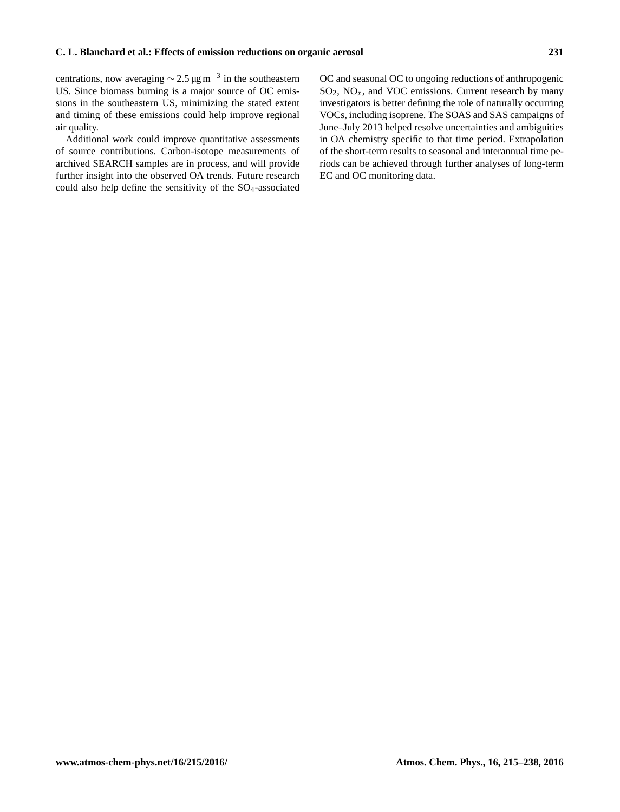centrations, now averaging  $\sim$  2.5 µg m<sup>-3</sup> in the southeastern US. Since biomass burning is a major source of OC emissions in the southeastern US, minimizing the stated extent and timing of these emissions could help improve regional air quality.

Additional work could improve quantitative assessments of source contributions. Carbon-isotope measurements of archived SEARCH samples are in process, and will provide further insight into the observed OA trends. Future research could also help define the sensitivity of the SO<sub>4</sub>-associated

OC and seasonal OC to ongoing reductions of anthropogenic  $SO_2$ ,  $NO_x$ , and VOC emissions. Current research by many investigators is better defining the role of naturally occurring VOCs, including isoprene. The SOAS and SAS campaigns of June–July 2013 helped resolve uncertainties and ambiguities in OA chemistry specific to that time period. Extrapolation of the short-term results to seasonal and interannual time periods can be achieved through further analyses of long-term EC and OC monitoring data.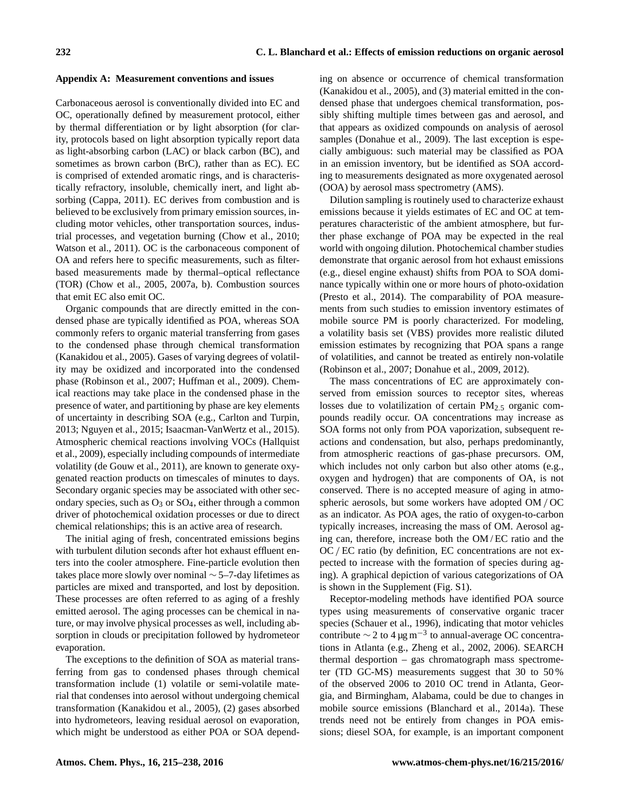## **Appendix A: Measurement conventions and issues**

Carbonaceous aerosol is conventionally divided into EC and OC, operationally defined by measurement protocol, either by thermal differentiation or by light absorption (for clarity, protocols based on light absorption typically report data as light-absorbing carbon (LAC) or black carbon (BC), and sometimes as brown carbon (BrC), rather than as EC). EC is comprised of extended aromatic rings, and is characteristically refractory, insoluble, chemically inert, and light absorbing (Cappa, 2011). EC derives from combustion and is believed to be exclusively from primary emission sources, including motor vehicles, other transportation sources, industrial processes, and vegetation burning (Chow et al., 2010; Watson et al., 2011). OC is the carbonaceous component of OA and refers here to specific measurements, such as filterbased measurements made by thermal–optical reflectance (TOR) (Chow et al., 2005, 2007a, b). Combustion sources that emit EC also emit OC.

Organic compounds that are directly emitted in the condensed phase are typically identified as POA, whereas SOA commonly refers to organic material transferring from gases to the condensed phase through chemical transformation (Kanakidou et al., 2005). Gases of varying degrees of volatility may be oxidized and incorporated into the condensed phase (Robinson et al., 2007; Huffman et al., 2009). Chemical reactions may take place in the condensed phase in the presence of water, and partitioning by phase are key elements of uncertainty in describing SOA (e.g., Carlton and Turpin, 2013; Nguyen et al., 2015; Isaacman-VanWertz et al., 2015). Atmospheric chemical reactions involving VOCs (Hallquist et al., 2009), especially including compounds of intermediate volatility (de Gouw et al., 2011), are known to generate oxygenated reaction products on timescales of minutes to days. Secondary organic species may be associated with other secondary species, such as  $O_3$  or  $SO_4$ , either through a common driver of photochemical oxidation processes or due to direct chemical relationships; this is an active area of research.

The initial aging of fresh, concentrated emissions begins with turbulent dilution seconds after hot exhaust effluent enters into the cooler atmosphere. Fine-particle evolution then takes place more slowly over nominal ∼ 5–7-day lifetimes as particles are mixed and transported, and lost by deposition. These processes are often referred to as aging of a freshly emitted aerosol. The aging processes can be chemical in nature, or may involve physical processes as well, including absorption in clouds or precipitation followed by hydrometeor evaporation.

The exceptions to the definition of SOA as material transferring from gas to condensed phases through chemical transformation include (1) volatile or semi-volatile material that condenses into aerosol without undergoing chemical transformation (Kanakidou et al., 2005), (2) gases absorbed into hydrometeors, leaving residual aerosol on evaporation, which might be understood as either POA or SOA depending on absence or occurrence of chemical transformation (Kanakidou et al., 2005), and (3) material emitted in the condensed phase that undergoes chemical transformation, possibly shifting multiple times between gas and aerosol, and that appears as oxidized compounds on analysis of aerosol samples (Donahue et al., 2009). The last exception is especially ambiguous: such material may be classified as POA in an emission inventory, but be identified as SOA according to measurements designated as more oxygenated aerosol (OOA) by aerosol mass spectrometry (AMS).

Dilution sampling is routinely used to characterize exhaust emissions because it yields estimates of EC and OC at temperatures characteristic of the ambient atmosphere, but further phase exchange of POA may be expected in the real world with ongoing dilution. Photochemical chamber studies demonstrate that organic aerosol from hot exhaust emissions (e.g., diesel engine exhaust) shifts from POA to SOA dominance typically within one or more hours of photo-oxidation (Presto et al., 2014). The comparability of POA measurements from such studies to emission inventory estimates of mobile source PM is poorly characterized. For modeling, a volatility basis set (VBS) provides more realistic diluted emission estimates by recognizing that POA spans a range of volatilities, and cannot be treated as entirely non-volatile (Robinson et al., 2007; Donahue et al., 2009, 2012).

The mass concentrations of EC are approximately conserved from emission sources to receptor sites, whereas losses due to volatilization of certain  $PM_{2.5}$  organic compounds readily occur. OA concentrations may increase as SOA forms not only from POA vaporization, subsequent reactions and condensation, but also, perhaps predominantly, from atmospheric reactions of gas-phase precursors. OM, which includes not only carbon but also other atoms (e.g., oxygen and hydrogen) that are components of OA, is not conserved. There is no accepted measure of aging in atmospheric aerosols, but some workers have adopted OM / OC as an indicator. As POA ages, the ratio of oxygen-to-carbon typically increases, increasing the mass of OM. Aerosol aging can, therefore, increase both the OM / EC ratio and the OC/ EC ratio (by definition, EC concentrations are not expected to increase with the formation of species during aging). A graphical depiction of various categorizations of OA is shown in the Supplement (Fig. S1).

Receptor-modeling methods have identified POA source types using measurements of conservative organic tracer species (Schauer et al., 1996), indicating that motor vehicles contribute ∼ 2 to 4 µg m−<sup>3</sup> to annual-average OC concentrations in Atlanta (e.g., Zheng et al., 2002, 2006). SEARCH thermal desportion – gas chromatograph mass spectrometer (TD GC-MS) measurements suggest that 30 to 50 % of the observed 2006 to 2010 OC trend in Atlanta, Georgia, and Birmingham, Alabama, could be due to changes in mobile source emissions (Blanchard et al., 2014a). These trends need not be entirely from changes in POA emissions; diesel SOA, for example, is an important component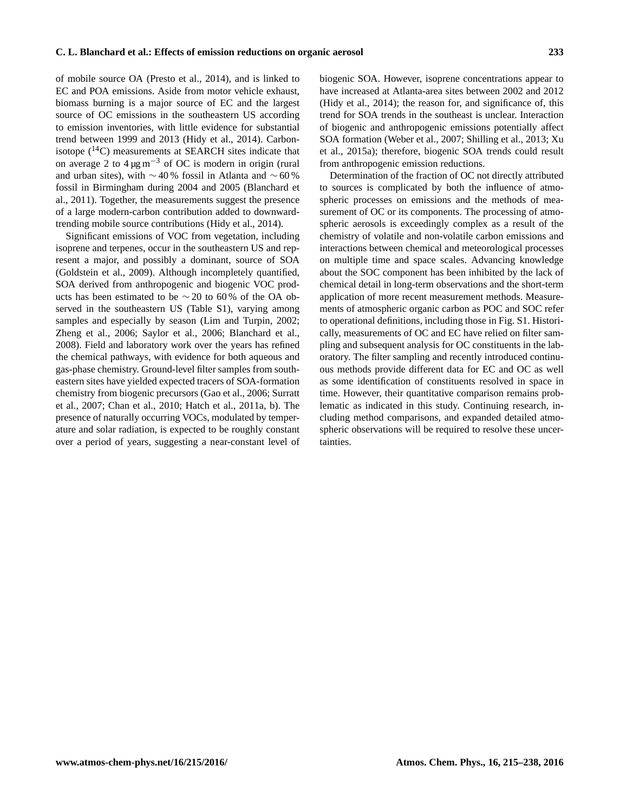of mobile source OA (Presto et al., 2014), and is linked to EC and POA emissions. Aside from motor vehicle exhaust, biomass burning is a major source of EC and the largest source of OC emissions in the southeastern US according to emission inventories, with little evidence for substantial trend between 1999 and 2013 (Hidy et al., 2014). Carbonisotope  $(^{14}C)$  measurements at SEARCH sites indicate that on average 2 to  $4 \mu g m^{-3}$  of OC is modern in origin (rural and urban sites), with  $\sim$  40 % fossil in Atlanta and  $\sim$  60 % fossil in Birmingham during 2004 and 2005 (Blanchard et al., 2011). Together, the measurements suggest the presence of a large modern-carbon contribution added to downwardtrending mobile source contributions (Hidy et al., 2014).

Significant emissions of VOC from vegetation, including isoprene and terpenes, occur in the southeastern US and represent a major, and possibly a dominant, source of SOA (Goldstein et al., 2009). Although incompletely quantified, SOA derived from anthropogenic and biogenic VOC products has been estimated to be  $\sim$  20 to 60% of the OA observed in the southeastern US (Table S1), varying among samples and especially by season (Lim and Turpin, 2002; Zheng et al., 2006; Saylor et al., 2006; Blanchard et al., 2008). Field and laboratory work over the years has refined the chemical pathways, with evidence for both aqueous and gas-phase chemistry. Ground-level filter samples from southeastern sites have yielded expected tracers of SOA-formation chemistry from biogenic precursors (Gao et al., 2006; Surratt et al., 2007; Chan et al., 2010; Hatch et al., 2011a, b). The presence of naturally occurring VOCs, modulated by temperature and solar radiation, is expected to be roughly constant over a period of years, suggesting a near-constant level of

biogenic SOA. However, isoprene concentrations appear to have increased at Atlanta-area sites between 2002 and 2012 (Hidy et al., 2014); the reason for, and significance of, this trend for SOA trends in the southeast is unclear. Interaction of biogenic and anthropogenic emissions potentially affect SOA formation (Weber et al., 2007; Shilling et al., 2013; Xu et al., 2015a); therefore, biogenic SOA trends could result from anthropogenic emission reductions.

Determination of the fraction of OC not directly attributed to sources is complicated by both the influence of atmospheric processes on emissions and the methods of measurement of OC or its components. The processing of atmospheric aerosols is exceedingly complex as a result of the chemistry of volatile and non-volatile carbon emissions and interactions between chemical and meteorological processes on multiple time and space scales. Advancing knowledge about the SOC component has been inhibited by the lack of chemical detail in long-term observations and the short-term application of more recent measurement methods. Measurements of atmospheric organic carbon as POC and SOC refer to operational definitions, including those in Fig. S1. Historically, measurements of OC and EC have relied on filter sampling and subsequent analysis for OC constituents in the laboratory. The filter sampling and recently introduced continuous methods provide different data for EC and OC as well as some identification of constituents resolved in space in time. However, their quantitative comparison remains problematic as indicated in this study. Continuing research, including method comparisons, and expanded detailed atmospheric observations will be required to resolve these uncertainties.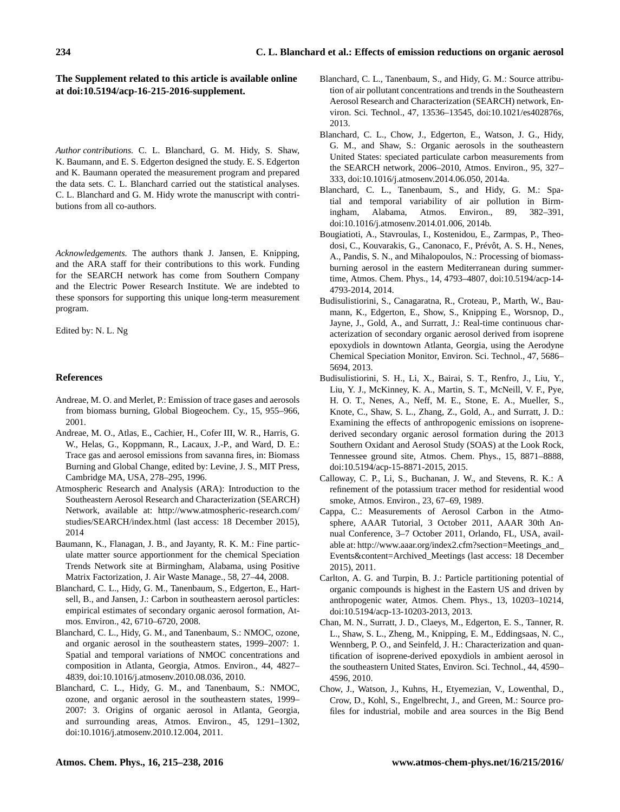# **The Supplement related to this article is available online at [doi:10.5194/acp-16-215-2016-supplement.](http://dx.doi.org/10.5194/acp-16-215-2016-supplement)**

*Author contributions.* C. L. Blanchard, G. M. Hidy, S. Shaw, K. Baumann, and E. S. Edgerton designed the study. E. S. Edgerton and K. Baumann operated the measurement program and prepared the data sets. C. L. Blanchard carried out the statistical analyses. C. L. Blanchard and G. M. Hidy wrote the manuscript with contributions from all co-authors.

*Acknowledgements.* The authors thank J. Jansen, E. Knipping, and the ARA staff for their contributions to this work. Funding for the SEARCH network has come from Southern Company and the Electric Power Research Institute. We are indebted to these sponsors for supporting this unique long-term measurement program.

Edited by: N. L. Ng

## **References**

- Andreae, M. O. and Merlet, P.: Emission of trace gases and aerosols from biomass burning, Global Biogeochem. Cy., 15, 955–966, 2001.
- Andreae, M. O., Atlas, E., Cachier, H., Cofer III, W. R., Harris, G. W., Helas, G., Koppmann, R., Lacaux, J.-P., and Ward, D. E.: Trace gas and aerosol emissions from savanna fires, in: Biomass Burning and Global Change, edited by: Levine, J. S., MIT Press, Cambridge MA, USA, 278–295, 1996.
- Atmospheric Research and Analysis (ARA): Introduction to the Southeastern Aerosol Research and Characterization (SEARCH) Network, available at: [http://www.atmospheric-research.com/](http://www.atmospheric-research.com/studies/SEARCH/index.html) [studies/SEARCH/index.html](http://www.atmospheric-research.com/studies/SEARCH/index.html) (last access: 18 December 2015), 2014
- Baumann, K., Flanagan, J. B., and Jayanty, R. K. M.: Fine particulate matter source apportionment for the chemical Speciation Trends Network site at Birmingham, Alabama, using Positive Matrix Factorization, J. Air Waste Manage., 58, 27–44, 2008.
- Blanchard, C. L., Hidy, G. M., Tanenbaum, S., Edgerton, E., Hartsell, B., and Jansen, J.: Carbon in southeastern aerosol particles: empirical estimates of secondary organic aerosol formation, Atmos. Environ., 42, 6710–6720, 2008.
- Blanchard, C. L., Hidy, G. M., and Tanenbaum, S.: NMOC, ozone, and organic aerosol in the southeastern states, 1999–2007: 1. Spatial and temporal variations of NMOC concentrations and composition in Atlanta, Georgia, Atmos. Environ., 44, 4827– 4839, doi[:10.1016/j.atmosenv.2010.08.036,](http://dx.doi.org/10.1016/j.atmosenv.2010.08.036) 2010.
- Blanchard, C. L., Hidy, G. M., and Tanenbaum, S.: NMOC, ozone, and organic aerosol in the southeastern states, 1999– 2007: 3. Origins of organic aerosol in Atlanta, Georgia, and surrounding areas, Atmos. Environ., 45, 1291–1302, doi[:10.1016/j.atmosenv.2010.12.004,](http://dx.doi.org/10.1016/j.atmosenv.2010.12.004) 2011.
- Blanchard, C. L., Tanenbaum, S., and Hidy, G. M.: Source attribution of air pollutant concentrations and trends in the Southeastern Aerosol Research and Characterization (SEARCH) network, Environ. Sci. Technol., 47, 13536–13545, doi[:10.1021/es402876s,](http://dx.doi.org/10.1021/es402876s) 2013.
- Blanchard, C. L., Chow, J., Edgerton, E., Watson, J. G., Hidy, G. M., and Shaw, S.: Organic aerosols in the southeastern United States: speciated particulate carbon measurements from the SEARCH network, 2006–2010, Atmos. Environ., 95, 327– 333, doi[:10.1016/j.atmosenv.2014.06.050,](http://dx.doi.org/10.1016/j.atmosenv.2014.06.050) 2014a.
- Blanchard, C. L., Tanenbaum, S., and Hidy, G. M.: Spatial and temporal variability of air pollution in Birmingham, Alabama, Atmos. Environ., 89, 382–391, doi[:10.1016/j.atmosenv.2014.01.006,](http://dx.doi.org/10.1016/j.atmosenv.2014.01.006) 2014b.
- Bougiatioti, A., Stavroulas, I., Kostenidou, E., Zarmpas, P., Theodosi, C., Kouvarakis, G., Canonaco, F., Prévôt, A. S. H., Nenes, A., Pandis, S. N., and Mihalopoulos, N.: Processing of biomassburning aerosol in the eastern Mediterranean during summertime, Atmos. Chem. Phys., 14, 4793–4807, doi[:10.5194/acp-14-](http://dx.doi.org/10.5194/acp-14-4793-2014) [4793-2014,](http://dx.doi.org/10.5194/acp-14-4793-2014) 2014.
- Budisulistiorini, S., Canagaratna, R., Croteau, P., Marth, W., Baumann, K., Edgerton, E., Show, S., Knipping E., Worsnop, D., Jayne, J., Gold, A., and Surratt, J.: Real-time continuous characterization of secondary organic aerosol derived from isoprene epoxydiols in downtown Atlanta, Georgia, using the Aerodyne Chemical Speciation Monitor, Environ. Sci. Technol., 47, 5686– 5694, 2013.
- Budisulistiorini, S. H., Li, X., Bairai, S. T., Renfro, J., Liu, Y., Liu, Y. J., McKinney, K. A., Martin, S. T., McNeill, V. F., Pye, H. O. T., Nenes, A., Neff, M. E., Stone, E. A., Mueller, S., Knote, C., Shaw, S. L., Zhang, Z., Gold, A., and Surratt, J. D.: Examining the effects of anthropogenic emissions on isoprenederived secondary organic aerosol formation during the 2013 Southern Oxidant and Aerosol Study (SOAS) at the Look Rock, Tennessee ground site, Atmos. Chem. Phys., 15, 8871–8888, doi[:10.5194/acp-15-8871-2015,](http://dx.doi.org/10.5194/acp-15-8871-2015) 2015.
- Calloway, C. P., Li, S., Buchanan, J. W., and Stevens, R. K.: A refinement of the potassium tracer method for residential wood smoke, Atmos. Environ., 23, 67–69, 1989.
- Cappa, C.: Measurements of Aerosol Carbon in the Atmosphere, AAAR Tutorial, 3 October 2011, AAAR 30th Annual Conference, 3–7 October 2011, Orlando, FL, USA, available at: [http://www.aaar.org/index2.cfm?section=Meetings\\_and\\_](http://www.aaar.org/index2.cfm?section=Meetings_and_Events&content=Archived_Meetings) [Events&content=Archived\\_Meetings](http://www.aaar.org/index2.cfm?section=Meetings_and_Events&content=Archived_Meetings) (last access: 18 December 2015), 2011.
- Carlton, A. G. and Turpin, B. J.: Particle partitioning potential of organic compounds is highest in the Eastern US and driven by anthropogenic water, Atmos. Chem. Phys., 13, 10203–10214, doi[:10.5194/acp-13-10203-2013,](http://dx.doi.org/10.5194/acp-13-10203-2013) 2013.
- Chan, M. N., Surratt, J. D., Claeys, M., Edgerton, E. S., Tanner, R. L., Shaw, S. L., Zheng, M., Knipping, E. M., Eddingsaas, N. C., Wennberg, P. O., and Seinfeld, J. H.: Characterization and quantification of isoprene-derived epoxydiols in ambient aerosol in the southeastern United States, Environ. Sci. Technol., 44, 4590– 4596, 2010.
- Chow, J., Watson, J., Kuhns, H., Etyemezian, V., Lowenthal, D., Crow, D., Kohl, S., Engelbrecht, J., and Green, M.: Source profiles for industrial, mobile and area sources in the Big Bend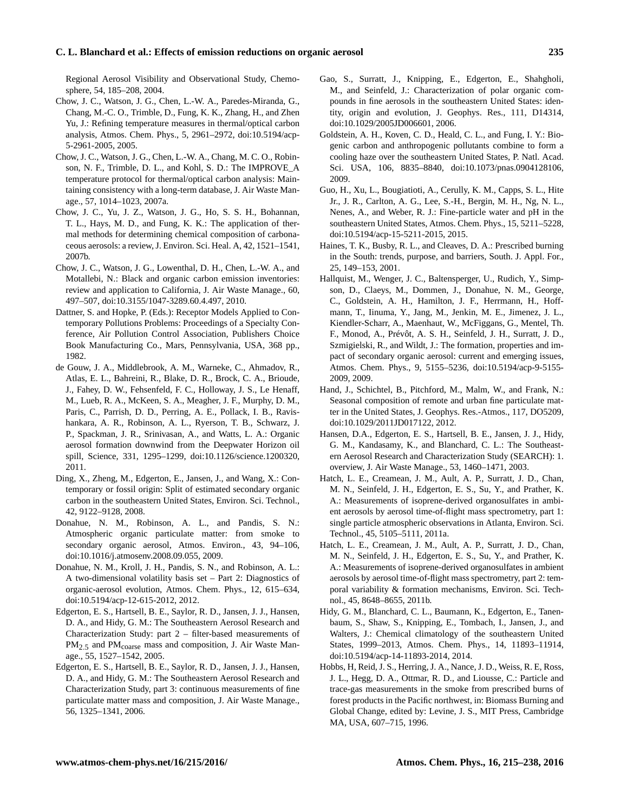## **C. L. Blanchard et al.: Effects of emission reductions on organic aerosol 235**

Regional Aerosol Visibility and Observational Study, Chemosphere, 54, 185–208, 2004.

- Chow, J. C., Watson, J. G., Chen, L.-W. A., Paredes-Miranda, G., Chang, M.-C. O., Trimble, D., Fung, K. K., Zhang, H., and Zhen Yu, J.: Refining temperature measures in thermal/optical carbon analysis, Atmos. Chem. Phys., 5, 2961–2972, doi[:10.5194/acp-](http://dx.doi.org/10.5194/acp-5-2961-2005)[5-2961-2005,](http://dx.doi.org/10.5194/acp-5-2961-2005) 2005.
- Chow, J. C., Watson, J. G., Chen, L.-W. A., Chang, M. C. O., Robinson, N. F., Trimble, D. L., and Kohl, S. D.: The IMPROVE\_A temperature protocol for thermal/optical carbon analysis: Maintaining consistency with a long-term database, J. Air Waste Manage., 57, 1014–1023, 2007a.
- Chow, J. C., Yu, J. Z., Watson, J. G., Ho, S. S. H., Bohannan, T. L., Hays, M. D., and Fung, K. K.: The application of thermal methods for determining chemical composition of carbonaceous aerosols: a review, J. Environ. Sci. Heal. A, 42, 1521–1541, 2007b.
- Chow, J. C., Watson, J. G., Lowenthal, D. H., Chen, L.-W. A., and Motallebi, N.: Black and organic carbon emission inventories: review and application to California, J. Air Waste Manage., 60, 497–507, doi[:10.3155/1047-3289.60.4.497,](http://dx.doi.org/10.3155/1047-3289.60.4.497) 2010.
- Dattner, S. and Hopke, P. (Eds.): Receptor Models Applied to Contemporary Pollutions Problems: Proceedings of a Specialty Conference, Air Pollution Control Association, Publishers Choice Book Manufacturing Co., Mars, Pennsylvania, USA, 368 pp., 1982.
- de Gouw, J. A., Middlebrook, A. M., Warneke, C., Ahmadov, R., Atlas, E. L., Bahreini, R., Blake, D. R., Brock, C. A., Brioude, J., Fahey, D. W., Fehsenfeld, F. C., Holloway, J. S., Le Henaff, M., Lueb, R. A., McKeen, S. A., Meagher, J. F., Murphy, D. M., Paris, C., Parrish, D. D., Perring, A. E., Pollack, I. B., Ravishankara, A. R., Robinson, A. L., Ryerson, T. B., Schwarz, J. P., Spackman, J. R., Srinivasan, A., and Watts, L. A.: Organic aerosol formation downwind from the Deepwater Horizon oil spill, Science, 331, 1295–1299, doi[:10.1126/science.1200320,](http://dx.doi.org/10.1126/science.1200320) 2011.
- Ding, X., Zheng, M., Edgerton, E., Jansen, J., and Wang, X.: Contemporary or fossil origin: Split of estimated secondary organic carbon in the southeastern United States, Environ. Sci. Technol., 42, 9122–9128, 2008.
- Donahue, N. M., Robinson, A. L., and Pandis, S. N.: Atmospheric organic particulate matter: from smoke to secondary organic aerosol, Atmos. Environ., 43, 94–106, doi[:10.1016/j.atmosenv.2008.09.055,](http://dx.doi.org/10.1016/j.atmosenv.2008.09.055) 2009.
- Donahue, N. M., Kroll, J. H., Pandis, S. N., and Robinson, A. L.: A two-dimensional volatility basis set – Part 2: Diagnostics of organic-aerosol evolution, Atmos. Chem. Phys., 12, 615–634, doi[:10.5194/acp-12-615-2012,](http://dx.doi.org/10.5194/acp-12-615-2012) 2012.
- Edgerton, E. S., Hartsell, B. E., Saylor, R. D., Jansen, J. J., Hansen, D. A., and Hidy, G. M.: The Southeastern Aerosol Research and Characterization Study: part 2 – filter-based measurements of PM<sub>2.5</sub> and PM<sub>coarse</sub> mass and composition, J. Air Waste Manage., 55, 1527–1542, 2005.
- Edgerton, E. S., Hartsell, B. E., Saylor, R. D., Jansen, J. J., Hansen, D. A., and Hidy, G. M.: The Southeastern Aerosol Research and Characterization Study, part 3: continuous measurements of fine particulate matter mass and composition, J. Air Waste Manage., 56, 1325–1341, 2006.
- Gao, S., Surratt, J., Knipping, E., Edgerton, E., Shahgholi, M., and Seinfeld, J.: Characterization of polar organic compounds in fine aerosols in the southeastern United States: identity, origin and evolution, J. Geophys. Res., 111, D14314, doi[:10.1029/2005JD006601,](http://dx.doi.org/10.1029/2005JD006601) 2006.
- Goldstein, A. H., Koven, C. D., Heald, C. L., and Fung, I. Y.: Biogenic carbon and anthropogenic pollutants combine to form a cooling haze over the southeastern United States, P. Natl. Acad. Sci. USA, 106, 8835–8840, doi[:10.1073/pnas.0904128106,](http://dx.doi.org/10.1073/pnas.0904128106) 2009.
- Guo, H., Xu, L., Bougiatioti, A., Cerully, K. M., Capps, S. L., Hite Jr., J. R., Carlton, A. G., Lee, S.-H., Bergin, M. H., Ng, N. L., Nenes, A., and Weber, R. J.: Fine-particle water and pH in the southeastern United States, Atmos. Chem. Phys., 15, 5211–5228, doi[:10.5194/acp-15-5211-2015,](http://dx.doi.org/10.5194/acp-15-5211-2015) 2015.
- Haines, T. K., Busby, R. L., and Cleaves, D. A.: Prescribed burning in the South: trends, purpose, and barriers, South. J. Appl. For., 25, 149–153, 2001.
- Hallquist, M., Wenger, J. C., Baltensperger, U., Rudich, Y., Simpson, D., Claeys, M., Dommen, J., Donahue, N. M., George, C., Goldstein, A. H., Hamilton, J. F., Herrmann, H., Hoffmann, T., Iinuma, Y., Jang, M., Jenkin, M. E., Jimenez, J. L., Kiendler-Scharr, A., Maenhaut, W., McFiggans, G., Mentel, Th. F., Monod, A., Prévôt, A. S. H., Seinfeld, J. H., Surratt, J. D., Szmigielski, R., and Wildt, J.: The formation, properties and impact of secondary organic aerosol: current and emerging issues, Atmos. Chem. Phys., 9, 5155–5236, doi[:10.5194/acp-9-5155-](http://dx.doi.org/10.5194/acp-9-5155-2009) [2009,](http://dx.doi.org/10.5194/acp-9-5155-2009) 2009.
- Hand, J., Schichtel, B., Pitchford, M., Malm, W., and Frank, N.: Seasonal composition of remote and urban fine particulate matter in the United States, J. Geophys. Res.-Atmos., 117, DO5209, doi[:10.1029/2011JD017122,](http://dx.doi.org/10.1029/2011JD017122) 2012.
- Hansen, D.A., Edgerton, E. S., Hartsell, B. E., Jansen, J. J., Hidy, G. M., Kandasamy, K., and Blanchard, C. L.: The Southeastern Aerosol Research and Characterization Study (SEARCH): 1. overview, J. Air Waste Manage., 53, 1460–1471, 2003.
- Hatch, L. E., Creamean, J. M., Ault, A. P., Surratt, J. D., Chan, M. N., Seinfeld, J. H., Edgerton, E. S., Su, Y., and Prather, K. A.: Measurements of isoprene-derived organosulfates in ambient aerosols by aerosol time-of-flight mass spectrometry, part 1: single particle atmospheric observations in Atlanta, Environ. Sci. Technol., 45, 5105–5111, 2011a.
- Hatch, L. E., Creamean, J. M., Ault, A. P., Surratt, J. D., Chan, M. N., Seinfeld, J. H., Edgerton, E. S., Su, Y., and Prather, K. A.: Measurements of isoprene-derived organosulfates in ambient aerosols by aerosol time-of-flight mass spectrometry, part 2: temporal variability & formation mechanisms, Environ. Sci. Technol., 45, 8648–8655, 2011b.
- Hidy, G. M., Blanchard, C. L., Baumann, K., Edgerton, E., Tanenbaum, S., Shaw, S., Knipping, E., Tombach, I., Jansen, J., and Walters, J.: Chemical climatology of the southeastern United States, 1999–2013, Atmos. Chem. Phys., 14, 11893–11914, doi[:10.5194/acp-14-11893-2014,](http://dx.doi.org/10.5194/acp-14-11893-2014) 2014.
- Hobbs, H, Reid, J. S., Herring, J. A., Nance, J. D., Weiss, R. E, Ross, J. L., Hegg, D. A., Ottmar, R. D., and Liousse, C.: Particle and trace-gas measurements in the smoke from prescribed burns of forest products in the Pacific northwest, in: Biomass Burning and Global Change, edited by: Levine, J. S., MIT Press, Cambridge MA, USA, 607–715, 1996.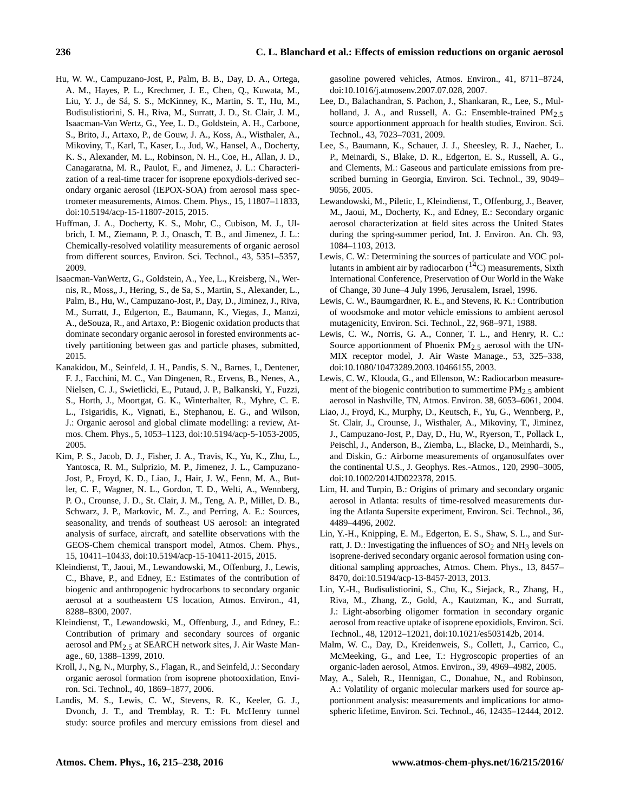- Hu, W. W., Campuzano-Jost, P., Palm, B. B., Day, D. A., Ortega, A. M., Hayes, P. L., Krechmer, J. E., Chen, Q., Kuwata, M., Liu, Y. J., de Sá, S. S., McKinney, K., Martin, S. T., Hu, M., Budisulistiorini, S. H., Riva, M., Surratt, J. D., St. Clair, J. M., Isaacman-Van Wertz, G., Yee, L. D., Goldstein, A. H., Carbone, S., Brito, J., Artaxo, P., de Gouw, J. A., Koss, A., Wisthaler, A., Mikoviny, T., Karl, T., Kaser, L., Jud, W., Hansel, A., Docherty, K. S., Alexander, M. L., Robinson, N. H., Coe, H., Allan, J. D., Canagaratna, M. R., Paulot, F., and Jimenez, J. L.: Characterization of a real-time tracer for isoprene epoxydiols-derived secondary organic aerosol (IEPOX-SOA) from aerosol mass spectrometer measurements, Atmos. Chem. Phys., 15, 11807–11833, doi[:10.5194/acp-15-11807-2015,](http://dx.doi.org/10.5194/acp-15-11807-2015) 2015.
- Huffman, J. A., Docherty, K. S., Mohr, C., Cubison, M. J., Ulbrich, I. M., Ziemann, P. J., Onasch, T. B., and Jimenez, J. L.: Chemically-resolved volatility measurements of organic aerosol from different sources, Environ. Sci. Technol., 43, 5351–5357, 2009.
- Isaacman-VanWertz, G., Goldstein, A., Yee, L., Kreisberg, N., Wernis, R., Moss,, J., Hering, S., de Sa, S., Martin, S., Alexander, L., Palm, B., Hu, W., Campuzano-Jost, P., Day, D., Jiminez, J., Riva, M., Surratt, J., Edgerton, E., Baumann, K., Viegas, J., Manzi, A., deSouza, R., and Artaxo, P.: Biogenic oxidation products that dominate secondary organic aerosol in forested environments actively partitioning between gas and particle phases, submitted, 2015.
- Kanakidou, M., Seinfeld, J. H., Pandis, S. N., Barnes, I., Dentener, F. J., Facchini, M. C., Van Dingenen, R., Ervens, B., Nenes, A., Nielsen, C. J., Swietlicki, E., Putaud, J. P., Balkanski, Y., Fuzzi, S., Horth, J., Moortgat, G. K., Winterhalter, R., Myhre, C. E. L., Tsigaridis, K., Vignati, E., Stephanou, E. G., and Wilson, J.: Organic aerosol and global climate modelling: a review, Atmos. Chem. Phys., 5, 1053–1123, doi[:10.5194/acp-5-1053-2005,](http://dx.doi.org/10.5194/acp-5-1053-2005) 2005.
- Kim, P. S., Jacob, D. J., Fisher, J. A., Travis, K., Yu, K., Zhu, L., Yantosca, R. M., Sulprizio, M. P., Jimenez, J. L., Campuzano-Jost, P., Froyd, K. D., Liao, J., Hair, J. W., Fenn, M. A., Butler, C. F., Wagner, N. L., Gordon, T. D., Welti, A., Wennberg, P. O., Crounse, J. D., St. Clair, J. M., Teng, A. P., Millet, D. B., Schwarz, J. P., Markovic, M. Z., and Perring, A. E.: Sources, seasonality, and trends of southeast US aerosol: an integrated analysis of surface, aircraft, and satellite observations with the GEOS-Chem chemical transport model, Atmos. Chem. Phys., 15, 10411–10433, doi[:10.5194/acp-15-10411-2015,](http://dx.doi.org/10.5194/acp-15-10411-2015) 2015.
- Kleindienst, T., Jaoui, M., Lewandowski, M., Offenburg, J., Lewis, C., Bhave, P., and Edney, E.: Estimates of the contribution of biogenic and anthropogenic hydrocarbons to secondary organic aerosol at a southeastern US location, Atmos. Environ., 41, 8288–8300, 2007.
- Kleindienst, T., Lewandowski, M., Offenburg, J., and Edney, E.: Contribution of primary and secondary sources of organic aerosol and PM2.5 at SEARCH network sites, J. Air Waste Manage., 60, 1388–1399, 2010.
- Kroll, J., Ng, N., Murphy, S., Flagan, R., and Seinfeld, J.: Secondary organic aerosol formation from isoprene photooxidation, Environ. Sci. Technol., 40, 1869–1877, 2006.
- Landis, M. S., Lewis, C. W., Stevens, R. K., Keeler, G. J., Dvonch, J. T., and Tremblay, R. T.: Ft. McHenry tunnel study: source profiles and mercury emissions from diesel and

gasoline powered vehicles, Atmos. Environ., 41, 8711–8724, doi[:10.1016/j.atmosenv.2007.07.028,](http://dx.doi.org/10.1016/j.atmosenv.2007.07.028) 2007.

- Lee, D., Balachandran, S. Pachon, J., Shankaran, R., Lee, S., Mulholland, J. A., and Russell, A. G.: Ensemble-trained PM<sub>2.5</sub> source apportionment approach for health studies, Environ. Sci. Technol., 43, 7023–7031, 2009.
- Lee, S., Baumann, K., Schauer, J. J., Sheesley, R. J., Naeher, L. P., Meinardi, S., Blake, D. R., Edgerton, E. S., Russell, A. G., and Clements, M.: Gaseous and particulate emissions from prescribed burning in Georgia, Environ. Sci. Technol., 39, 9049– 9056, 2005.
- Lewandowski, M., Piletic, I., Kleindienst, T., Offenburg, J., Beaver, M., Jaoui, M., Docherty, K., and Edney, E.: Secondary organic aerosol characterization at field sites across the United States during the spring-summer period, Int. J. Environ. An. Ch. 93, 1084–1103, 2013.
- Lewis, C. W.: Determining the sources of particulate and VOC pollutants in ambient air by radiocarbon  $(14)$ C) measurements, Sixth International Conference, Preservation of Our World in the Wake of Change, 30 June–4 July 1996, Jerusalem, Israel, 1996.
- Lewis, C. W., Baumgardner, R. E., and Stevens, R. K.: Contribution of woodsmoke and motor vehicle emissions to ambient aerosol mutagenicity, Environ. Sci. Technol., 22, 968–971, 1988.
- Lewis, C. W., Norris, G. A., Conner, T. L., and Henry, R. C.: Source apportionment of Phoenix PM2.5 aerosol with the UN-MIX receptor model, J. Air Waste Manage., 53, 325–338, doi[:10.1080/10473289.2003.10466155,](http://dx.doi.org/10.1080/10473289.2003.10466155) 2003.
- Lewis, C. W., Klouda, G., and Ellenson, W.: Radiocarbon measurement of the biogenic contribution to summertime  $PM_2$ , ambient aerosol in Nashville, TN, Atmos. Environ. 38, 6053–6061, 2004.
- Liao, J., Froyd, K., Murphy, D., Keutsch, F., Yu, G., Wennberg, P., St. Clair, J., Crounse, J., Wisthaler, A., Mikoviny, T., Jiminez, J., Campuzano-Jost, P., Day, D., Hu, W., Ryerson, T., Pollack I., Peischl, J., Anderson, B., Ziemba, L., Blacke, D., Meinhardi, S., and Diskin, G.: Airborne measurements of organosulfates over the continental U.S., J. Geophys. Res.-Atmos., 120, 2990–3005, doi[:10.1002/2014JD022378,](http://dx.doi.org/10.1002/2014JD022378) 2015.
- Lim, H. and Turpin, B.: Origins of primary and secondary organic aerosol in Atlanta: results of time-resolved measurements during the Atlanta Supersite experiment, Environ. Sci. Technol., 36, 4489–4496, 2002.
- Lin, Y.-H., Knipping, E. M., Edgerton, E. S., Shaw, S. L., and Surratt, J. D.: Investigating the influences of  $SO<sub>2</sub>$  and NH<sub>3</sub> levels on isoprene-derived secondary organic aerosol formation using conditional sampling approaches, Atmos. Chem. Phys., 13, 8457– 8470, doi[:10.5194/acp-13-8457-2013,](http://dx.doi.org/10.5194/acp-13-8457-2013) 2013.
- Lin, Y.-H., Budisulistiorini, S., Chu, K., Siejack, R., Zhang, H., Riva, M., Zhang, Z., Gold, A., Kautzman, K., and Surratt, J.: Light-absorbing oligomer formation in secondary organic aerosol from reactive uptake of isoprene epoxidiols, Environ. Sci. Technol., 48, 12012–12021, doi[:10.1021/es503142b,](http://dx.doi.org/10.1021/es503142b) 2014.
- Malm, W. C., Day, D., Kreidenweis, S., Collett, J., Carrico, C., McMeeking, G., and Lee, T.: Hygroscopic properties of an organic-laden aerosol, Atmos. Environ., 39, 4969–4982, 2005.
- May, A., Saleh, R., Hennigan, C., Donahue, N., and Robinson, A.: Volatility of organic molecular markers used for source apportionment analysis: measurements and implications for atmospheric lifetime, Environ. Sci. Technol., 46, 12435–12444, 2012.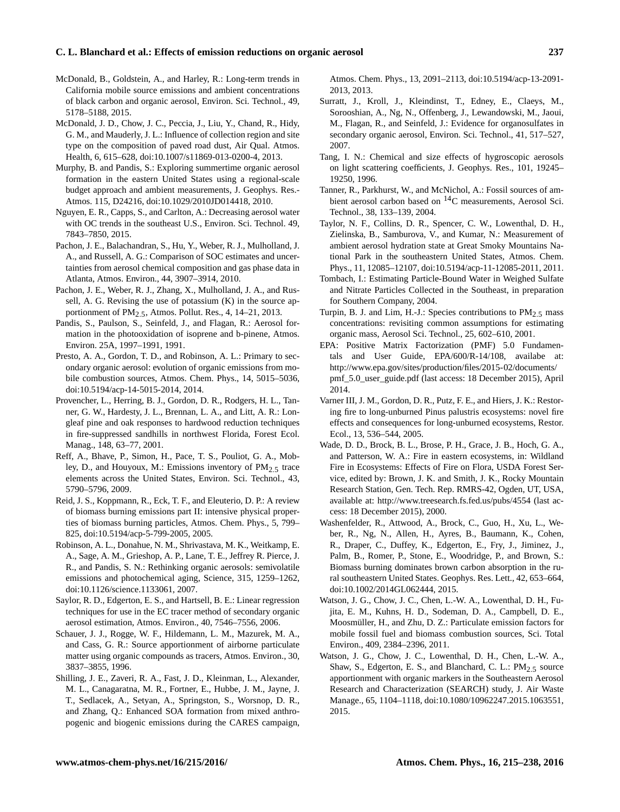## **C. L. Blanchard et al.: Effects of emission reductions on organic aerosol 237**

- McDonald, B., Goldstein, A., and Harley, R.: Long-term trends in California mobile source emissions and ambient concentrations of black carbon and organic aerosol, Environ. Sci. Technol., 49, 5178–5188, 2015.
- McDonald, J. D., Chow, J. C., Peccia, J., Liu, Y., Chand, R., Hidy, G. M., and Mauderly, J. L.: Influence of collection region and site type on the composition of paved road dust, Air Qual. Atmos. Health, 6, 615–628, doi[:10.1007/s11869-013-0200-4,](http://dx.doi.org/10.1007/s11869-013-0200-4) 2013.
- Murphy, B. and Pandis, S.: Exploring summertime organic aerosol formation in the eastern United States using a regional-scale budget approach and ambient measurements, J. Geophys. Res.- Atmos. 115, D24216, doi[:10.1029/2010JD014418,](http://dx.doi.org/10.1029/2010JD014418) 2010.
- Nguyen, E. R., Capps, S., and Carlton, A.: Decreasing aerosol water with OC trends in the southeast U.S., Environ. Sci. Technol. 49, 7843–7850, 2015.
- Pachon, J. E., Balachandran, S., Hu, Y., Weber, R. J., Mulholland, J. A., and Russell, A. G.: Comparison of SOC estimates and uncertainties from aerosol chemical composition and gas phase data in Atlanta, Atmos. Environ., 44, 3907–3914, 2010.
- Pachon, J. E., Weber, R. J., Zhang, X., Mulholland, J. A., and Russell, A. G. Revising the use of potassium (K) in the source apportionment of  $PM_{2.5}$ , Atmos. Pollut. Res., 4, 14–21, 2013.
- Pandis, S., Paulson, S., Seinfeld, J., and Flagan, R.: Aerosol formation in the photooxidation of isoprene and b-pinene, Atmos. Environ. 25A, 1997–1991, 1991.
- Presto, A. A., Gordon, T. D., and Robinson, A. L.: Primary to secondary organic aerosol: evolution of organic emissions from mobile combustion sources, Atmos. Chem. Phys., 14, 5015–5036, doi[:10.5194/acp-14-5015-2014,](http://dx.doi.org/10.5194/acp-14-5015-2014) 2014.
- Provencher, L., Herring, B. J., Gordon, D. R., Rodgers, H. L., Tanner, G. W., Hardesty, J. L., Brennan, L. A., and Litt, A. R.: Longleaf pine and oak responses to hardwood reduction techniques in fire-suppressed sandhills in northwest Florida, Forest Ecol. Manag., 148, 63–77, 2001.
- Reff, A., Bhave, P., Simon, H., Pace, T. S., Pouliot, G. A., Mobley, D., and Houyoux, M.: Emissions inventory of  $PM_{2.5}$  trace elements across the United States, Environ. Sci. Technol., 43, 5790–5796, 2009.
- Reid, J. S., Koppmann, R., Eck, T. F., and Eleuterio, D. P.: A review of biomass burning emissions part II: intensive physical properties of biomass burning particles, Atmos. Chem. Phys., 5, 799– 825, doi[:10.5194/acp-5-799-2005,](http://dx.doi.org/10.5194/acp-5-799-2005) 2005.
- Robinson, A. L., Donahue, N. M., Shrivastava, M. K., Weitkamp, E. A., Sage, A. M., Grieshop, A. P., Lane, T. E., Jeffrey R. Pierce, J. R., and Pandis, S. N.: Rethinking organic aerosols: semivolatile emissions and photochemical aging, Science, 315, 1259–1262, doi[:10.1126/science.1133061,](http://dx.doi.org/10.1126/science.1133061) 2007.
- Saylor, R. D., Edgerton, E. S., and Hartsell, B. E.: Linear regression techniques for use in the EC tracer method of secondary organic aerosol estimation, Atmos. Environ., 40, 7546–7556, 2006.
- Schauer, J. J., Rogge, W. F., Hildemann, L. M., Mazurek, M. A., and Cass, G. R.: Source apportionment of airborne particulate matter using organic compounds as tracers, Atmos. Environ., 30, 3837–3855, 1996.
- Shilling, J. E., Zaveri, R. A., Fast, J. D., Kleinman, L., Alexander, M. L., Canagaratna, M. R., Fortner, E., Hubbe, J. M., Jayne, J. T., Sedlacek, A., Setyan, A., Springston, S., Worsnop, D. R., and Zhang, Q.: Enhanced SOA formation from mixed anthropogenic and biogenic emissions during the CARES campaign,

Atmos. Chem. Phys., 13, 2091–2113, doi[:10.5194/acp-13-2091-](http://dx.doi.org/10.5194/acp-13-2091-2013) [2013,](http://dx.doi.org/10.5194/acp-13-2091-2013) 2013.

- Surratt, J., Kroll, J., Kleindinst, T., Edney, E., Claeys, M., Sorooshian, A., Ng, N., Offenberg, J., Lewandowski, M., Jaoui, M., Flagan, R., and Seinfeld, J.: Evidence for organosulfates in secondary organic aerosol, Environ. Sci. Technol., 41, 517–527, 2007.
- Tang, I. N.: Chemical and size effects of hygroscopic aerosols on light scattering coefficients, J. Geophys. Res., 101, 19245– 19250, 1996.
- Tanner, R., Parkhurst, W., and McNichol, A.: Fossil sources of ambient aerosol carbon based on <sup>14</sup>C measurements, Aerosol Sci. Technol., 38, 133–139, 2004.
- Taylor, N. F., Collins, D. R., Spencer, C. W., Lowenthal, D. H., Zielinska, B., Samburova, V., and Kumar, N.: Measurement of ambient aerosol hydration state at Great Smoky Mountains National Park in the southeastern United States, Atmos. Chem. Phys., 11, 12085–12107, doi[:10.5194/acp-11-12085-2011,](http://dx.doi.org/10.5194/acp-11-12085-2011) 2011.
- Tombach, I.: Estimating Particle-Bound Water in Weighed Sulfate and Nitrate Particles Collected in the Southeast, in preparation for Southern Company, 2004.
- Turpin, B. J. and Lim, H.-J.: Species contributions to  $PM<sub>2.5</sub>$  mass concentrations: revisiting common assumptions for estimating organic mass, Aerosol Sci. Technol., 25, 602–610, 2001.
- EPA: Positive Matrix Factorization (PMF) 5.0 Fundamentals and User Guide, EPA/600/R-14/108, availabe at: [http://www.epa.gov/sites/production/files/2015-02/documents/](http://www.epa.gov/sites/production/files/2015-02/documents/pmf_5.0_user_guide.pdf) [pmf\\_5.0\\_user\\_guide.pdf](http://www.epa.gov/sites/production/files/2015-02/documents/pmf_5.0_user_guide.pdf) (last access: 18 December 2015), April 2014.
- Varner III, J. M., Gordon, D. R., Putz, F. E., and Hiers, J. K.: Restoring fire to long-unburned Pinus palustris ecosystems: novel fire effects and consequences for long-unburned ecosystems, Restor. Ecol., 13, 536–544, 2005.
- Wade, D. D., Brock, B. L., Brose, P. H., Grace, J. B., Hoch, G. A., and Patterson, W. A.: Fire in eastern ecosystems, in: Wildland Fire in Ecosystems: Effects of Fire on Flora, USDA Forest Service, edited by: Brown, J. K. and Smith, J. K., Rocky Mountain Research Station, Gen. Tech. Rep. RMRS-42, Ogden, UT, USA, available at: <http://www.treesearch.fs.fed.us/pubs/4554> (last access: 18 December 2015), 2000.
- Washenfelder, R., Attwood, A., Brock, C., Guo, H., Xu, L., Weber, R., Ng, N., Allen, H., Ayres, B., Baumann, K., Cohen, R., Draper, C., Duffey, K., Edgerton, E., Fry, J., Jiminez, J., Palm, B., Romer, P., Stone, E., Woodridge, P., and Brown, S.: Biomass burning dominates brown carbon absorption in the rural southeastern United States. Geophys. Res. Lett., 42, 653–664, doi[:10.1002/2014GL062444,](http://dx.doi.org/10.1002/2014GL062444) 2015.
- Watson, J. G., Chow, J. C., Chen, L.-W. A., Lowenthal, D. H., Fujita, E. M., Kuhns, H. D., Sodeman, D. A., Campbell, D. E., Moosmüller, H., and Zhu, D. Z.: Particulate emission factors for mobile fossil fuel and biomass combustion sources, Sci. Total Environ., 409, 2384–2396, 2011.
- Watson, J. G., Chow, J. C., Lowenthal, D. H., Chen, L.-W. A., Shaw, S., Edgerton, E. S., and Blanchard, C. L.:  $PM_{2.5}$  source apportionment with organic markers in the Southeastern Aerosol Research and Characterization (SEARCH) study, J. Air Waste Manage., 65, 1104–1118, doi[:10.1080/10962247.2015.1063551,](http://dx.doi.org/10.1080/10962247.2015.1063551) 2015.